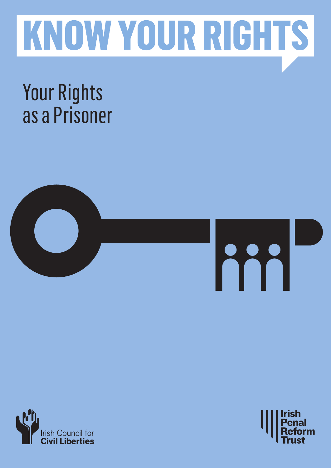

# Your Rights as a Prisoner







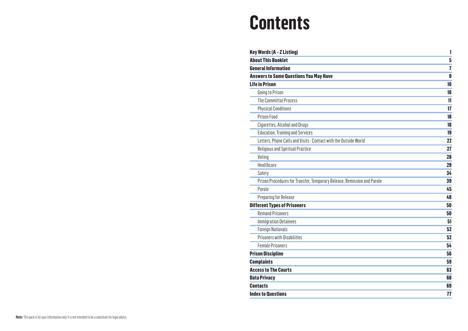# **Contents**

| Key Words $(A - Z Listing)$                                             | 1              |
|-------------------------------------------------------------------------|----------------|
| <b>About This Booklet</b>                                               | 5              |
| <b>General Information</b>                                              | $\overline{1}$ |
| <b>Answers to Some Questions You May Have</b>                           | 9              |
| <b>Life in Prison</b>                                                   | 10             |
| Going to Prison                                                         | 10             |
| <b>The Committal Process</b>                                            | 11             |
| <b>Physical Conditions</b>                                              | 17             |
| <b>Prison Food</b>                                                      | 18             |
| Cigarettes, Alcohol and Drugs                                           | 18             |
| <b>Education, Training and Services</b>                                 | 19             |
| Letters, Phone Calls and Visits - Contact with the Outside World        | 22             |
| <b>Religious and Spiritual Practice</b>                                 | 27             |
| Voting                                                                  | 28             |
| Healthcare                                                              | 29             |
| Safety                                                                  | 34             |
| Prison Procedures for Transfer, Temporary Release, Remission and Parole | 39             |
| Parole                                                                  | 45             |
| <b>Preparing for Release</b>                                            | 48             |
| <b>Different Types of Prisoners</b>                                     | 50             |
| <b>Remand Prisoners</b>                                                 | 50             |
| <b>Immigration Detainees</b>                                            | 51             |
| <b>Foreign Nationals</b>                                                | 52             |
| <b>Prisoners with Disabilities</b>                                      | 52             |
| <b>Female Prisoners</b>                                                 | 54             |
| <b>Prison Discipline</b>                                                | 56             |
| <b>Complaints</b>                                                       | 59             |
| <b>Access to The Courts</b>                                             | 63             |
| <b>Data Privacy</b>                                                     | 68             |
| <b>Contacts</b>                                                         | 69             |
| <b>Index to Questions</b>                                               | 77             |
|                                                                         |                |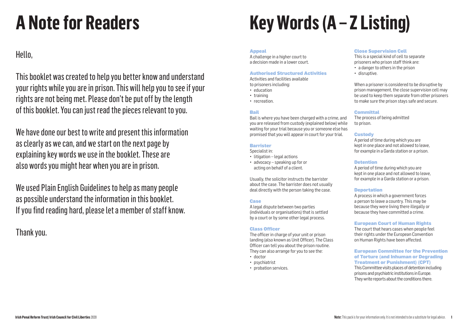# **A Note for Readers**

# Hello,

This booklet was created to help you better know and understand your rights while you are in prison. This will help you to see if your rights are not being met. Please don't be put off by the length of this booklet. You can just read the pieces relevant to you.

We have done our best to write and present this information as clearly as we can, and we start on the next page by explaining key words we use in the booklet. These are also words you might hear when you are in prison.

We used Plain English Guidelines to help as many people as possible understand the information in this booklet. If you find reading hard, please let a member of staff know.

# Thank you.

# **Key Words (A – Z Listing)**

### **Appeal**

A challenge in a higher court to a decision made in a lower court.

## Authorised Structured Activities

Activities and facilities available to prisoners including:

• education

- training
- recreation.

## Bail

Bail is where you have been charged with a crime, and you are released from custody (explained below) while waiting for your trial because you or someone else has promised that you will appear in court for your trial.

## Barrister

Specialist in:

• litigation – legal actions • advocacy – speaking up for or acting on behalf of a client.

Usually, the solicitor instructs the barrister about the case. The barrister does not usually deal directly with the person taking the case.

## Case

A legal dispute between two parties (individuals or organisations) that is settled by a court or by some other legal process.

## Class Officer

The officer in charge of your unit or prison landing (also known as Unit Officer). The Class Officer can tell you about the prison routine. They can also arrange for you to see the:

- doctor
- psychiatrist
- probation services.

### Close Supervision Cell

This is a special kind of cell to separate prisoners who prison staff think are:

- a danger to others in the prison
- disruptive.

When a prisoner is considered to be disruptive by prison management, the close supervision cell may be used to keep them separate from other prisoners to make sure the prison stays safe and secure.

## **Committal**

The process of being admitted to prison.

### **Custody**

A period of time during which you are kept in one place and not allowed to leave, for example in a Garda station or a prison.

### **Detention**

A period of time during which you are kept in one place and not allowed to leave, for example in a Garda station or a prison.

## **Deportation**

A process in which a government forces a person to leave a country. This may be because they were living there illegally or because they have committed a crime.

### European Court of Human Rights

The court that hears cases when people feel their rights under the European Convention on Human Rights have been affected.

#### European Committee for the Prevention of Torture (and Inhuman or Degrading Treatment or Punishment) (CPT)

This Committee visits places of detention including prisons and psychiatric institutions in Europe. They write reports about the conditions there.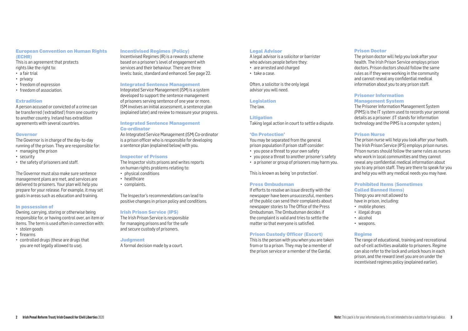#### European Convention on Human Rights (ECHR)

This is an agreement that protects rights like the right to:

- a fair trial
- privacy
- freedom of expression
- freedom of association.

#### **Extradition**

A person accused or convicted of a crime can be transferred ('extradited') from one country to another country. Ireland has extradition agreements with several countries.

#### Governor

The Governor is in charge of the day-to-day running of the prison. They are responsible for:

- managing the prison
- security
- the safety of prisoners and staff.

The Governor must also make sure sentence management plans are met, and services are delivered to prisoners. Your plan will help you prepare for your release. For example, it may set goals in areas such as education and training.

#### In possession of

Owning, carrying, storing or otherwise being responsible for, or having control over, an item or items. The term is used often in connection with:

- stolen goods
- firearms
- controlled drugs (these are drugs that you are not legally allowed to use).

#### Incentivised Regimes (Policy)

Incentivised Regimes (IR) is a rewards scheme based on a prisoner's level of engagement with services and their behaviour. There are three levels: basic, standard and enhanced. See page 22.

#### Integrated Sentence Management

Integrated Service Management (ISM) is a system developed to support the sentence management of prisoners serving sentence of one year or more. ISM involves an initial assessment, a sentence plan (explained later) and review to measure your progress.

#### Integrated Sentence Management Co-ordinator

An Integrated Service Management (ISM) Co-ordinator is a prison officer who is responsible for developing a sentence plan (explained below) with you.

#### Inspector of Prisons

The Inspector visits prisons and writes reports on human rights problems relating to:

- physical conditions
- healthcare
- complaints.

The Inspector's recommendations can lead to positive changes in prison policy and conditions.

#### Irish Prison Service (IPS)

The Irish Prison Service is responsible for managing prisons and for the safe and secure custody of prisoners.

#### **Judament**

A formal decision made by a court.

#### Legal Advisor

A legal advisor is a solicitor or barrister who advises people before they:

- are arrested and charged
- take a case.

Often, a solicitor is the only legal advisor you will need.

#### Legislation

The law.

#### **Litigation**

Taking legal action in court to settle a dispute.

#### 'On Protection'

You may be separated from the general prison population if prison staff consider:

- you pose a threat to your own safety
- you pose a threat to another prisoner's safety
- a prisoner or group of prisoners may harm you.

This is known as being 'on protection'.

#### Press Ombudsman

If efforts to resolve an issue directly with the newspaper have been unsuccessful, members of the public can send their complaints about newspaper stories to The Office of the Press Ombudsman. The Ombudsman decides if the complaint is valid and tries to settle the matter so that everyone is satisfied.

#### Prison Custody Officer (Escort)

This is the person with you when you are taken from or to a prison. They may be a member of the prison service or a member of the Gardaí.

#### Prison Doctor

The prison doctor will help you look after your health. The Irish Prison Service employs prison doctors. Prison doctors should follow the same rules as if they were working in the community and cannot reveal any confidential medical information about you to any prison staff.

#### Prisoner Information Management System

The Prisoner Information Management System (PIMS) is the IT system used to records your personal details as a prisoner. (IT stands for information technology and the PIMS is a computer system.)

### Prison Nurse

The prison nurse will help you look after your heath. The Irish Prison Service (IPS) employs prison nurses. Prison nurses should follow the same rules as nurses who work in local communities and they cannot reveal any confidential medical information about you to any prison staff. They are there to speak for you and help you with any medical needs you may have.

### Prohibited Items (Sometimes Called Banned Items)

Things you are not allowed to have in prison, including:

- mobile phones
- illegal drugs
- alcohol
- weapons.

#### Regime

The range of educational, training and recreational out-of-cell activities available to prisoners. Regime can also refer to the lock and unlock hours in each prison, and the reward level you are on under the incentivised regimes policy (explained earlier).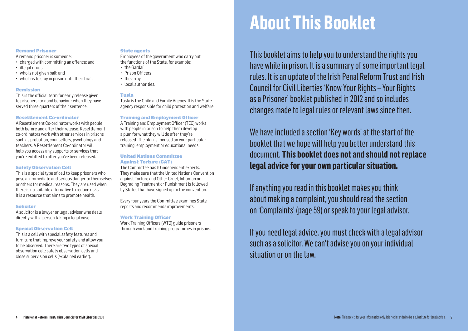#### Remand Prisoner

- A remand prisoner is someone:
- charged with committing an offence; and
- illegal drugs
- who is not given bail; and
- who has to stay in prison until their trial.

#### Remission

This is the official term for early release given to prisoners for good behaviour when they have served three quarters of their sentence.

#### Resettlement Co-ordinator

A Resettlement Co-ordinator works with people both before and after their release. Resettlement co-ordinators work with other services in prisons such as probation, counsellors, psychology and teachers. A Resettlement Co-ordinator will help you access any supports or services that you're entitled to after you've been released.

#### Safety Observation Cell

This is a special type of cell to keep prisoners who pose an immediate and serious danger to themselves or others for medical reasons. They are used when there is no suitable alternative to reduce risks. It is a resource that aims to promote health.

#### Solicitor

A solicitor is a lawyer or legal advisor who deals directly with a person taking a legal case.

#### Special Observation Cell

This is a cell with special safety features and furniture that improve your safety and allow you to be observed. There are two types of special observation cell: safety observation cells and close supervision cells (explained earlier).

#### State agents

Employees of the government who carry out the functions of the State, for example:

- the Gardaí
- Prison Officers
- the army • local authorities.
- 

### Tusla

Tusla is the Child and Family Agency. It is the State agency responsible for child protection and welfare.

### Training and Employment Officer

A Training and Employment Officer (TEO) works with people in prison to help them develop a plan for what they will do after they're released. The plan is focused on your particular training, employment or educational needs.

#### United Nations Committee Against Torture (CAT)

The Committee has 10 independent experts. They make sure that the United Nations Convention against Torture and Other Cruel, Inhuman or Degrading Treatment or Punishment is followed by States that have signed up to the convention.

Every four years the Committee examines State reports and recommends improvements.

#### Work Training Officer

Work Training Officers (WTO) guide prisoners through work and training programmes in prisons.

# **About This Booklet**

This booklet aims to help you to understand the rights you have while in prison. It is a summary of some important legal rules. It is an update of the Irish Penal Reform Trust and Irish Council for Civil Liberties 'Know Your Rights – Your Rights as a Prisoner' booklet published in 2012 and so includes changes made to legal rules or relevant laws since then.

We have included a section 'Key words' at the start of the booklet that we hope will help you better understand this document. **This booklet does not and should not replace legal advice for your own particular situation.** 

If anything you read in this booklet makes you think about making a complaint, you should read the section on 'Complaints' (page 59) or speak to your legal advisor.

If you need legal advice, you must check with a legal advisor such as a solicitor. We can't advise you on your individual situation or on the law.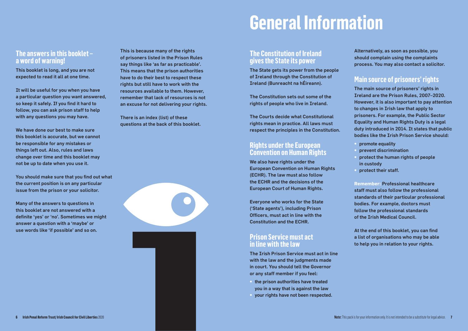# **General Information**

## **The answers in this booklet – a word of warning!**

This booklet is long, and you are not expected to read it all at one time.

It will be useful for you when you have a particular question you want answered, so keep it safely. If you find it hard to follow, you can ask prison staff to help with any questions you may have.

We have done our best to make sure this booklet is accurate, but we cannot be responsible for any mistakes or things left out. Also, rules and laws change over time and this booklet may not be up to date when you use it.

You should make sure that you find out what the current position is on any particular issue from the prison or your solicitor.

Many of the answers to questions in this booklet are not answered with a definite 'yes' or 'no'. Sometimes we might answer a question with a 'maybe' or use words like 'if possible' and so on.

This is because many of the rights of prisoners listed in the Prison Rules say things like 'as far as practicable'. This means that the prison authorities have to do their best to respect these rights but still have to work with the resources available to them. However, remember that lack of resources is not an excuse for not delivering your rights.

There is an index (list) of these questions at the back of this booklet.



## **The Constitution of Ireland gives the State its power**

The State gets its power from the people of Ireland through the Constitution of Ireland (Bunreacht na hÉireann).

The Constitution sets out some of the rights of people who live in Ireland.

The Courts decide what Constitutional rights mean in practice. All laws must respect the principles in the Constitution.

## **Rights under the European Convention on Human Rights**

We also have rights under the European Convention on Human Rights (ECHR). The law must also follow the ECHR and the decisions of the European Court of Human Rights.

Everyone who works for the State ('State agents'), including Prison Officers, must act in line with the Constitution and the ECHR.

## **Prison Service must act in line with the law**

The Irish Prison Service must act in line with the law and the judgments made in court. You should tell the Governor or any staff member if you feel:

- the prison authorities have treated you in a way that is against the law
- your rights have not been respected.

Alternatively, as soon as possible, you should complain using the complaints process. You may also contact a solicitor.

## **Main source of prisoners' rights**

The main source of prisoners' rights in Ireland are the Prison Rules, 2007–2020. However, it is also important to pay attention to changes in Irish law that apply to prisoners. For example, the Public Sector Equality and Human Rights Duty is a legal duty introduced in 2014. It states that public bodies like the Irish Prison Service should:

- promote equality
- prevent discrimination
- protect the human rights of people in custody
- protect their staff.

**Remember:** Professional healthcare staff must also follow the professional standards of their particular professional bodies. For example, doctors must follow the professional standards of the Irish Medical Council.

At the end of this booklet, you can find a list of organisations who may be able to help you in relation to your rights.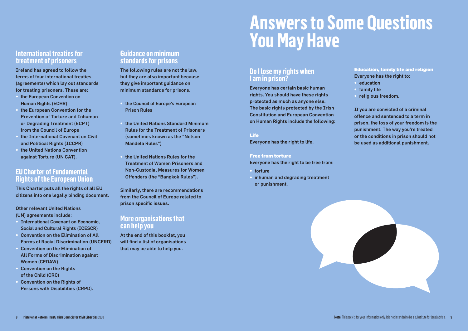# **Answers to Some Questions You May Have**

## **Do I lose my rights when I am in prison?**

Everyone has certain basic human rights. You should have these rights protected as much as anyone else. The basic rights protected by the Irish Constitution and European Convention on Human Rights include the following:

## Life

Everyone has the right to life.

### Free from torture

Everyone has the right to be free from:

- torture
- inhuman and degrading treatment or punishment.

### Education, family life and religion Everyone has the right to:

- education
- family life
- religious freedom.

If you are convicted of a criminal offence and sentenced to a term in prison, the loss of your freedom is the punishment. The way you're treated or the conditions in prison should not be used as additional punishment.

## **International treaties for treatment of prisoners**

Ireland has agreed to follow the terms of four international treaties (agreements) which lay out standards for treating prisoners. These are:

- the European Convention on Human Rights (ECHR)
- the European Convention for the Prevention of Torture and Inhuman or Degrading Treatment (ECPT) from the Council of Europe
- the International Covenant on Civil and Political Rights (ICCPR)
- the United Nations Convention against Torture (UN CAT).

## **EU Charter of Fundamental Rights of the European Union**

This Charter puts all the rights of all EU citizens into one legally binding document.

Other relevant United Nations (UN) agreements include:

- International Covenant on Economic, Social and Cultural Rights (ICESCR)
- Convention on the Elimination of All Forms of Racial Discrimination (UNCERD)
- Convention on the Elimination of All Forms of Discrimination against Women (CEDAW)
- Convention on the Rights of the Child (CRC)
- Convention on the Rights of Persons with Disabilities (CRPD).

## **Guidance on minimum standards for prisons**

The following rules are not the law, but they are also important because they give important guidance on minimum standards for prisons.

- the Council of Europe's European Prison Rules
- the United Nations Standard Minimum Rules for the Treatment of Prisoners (sometimes known as the "Nelson Mandela Rules")
- the United Nations Rules for the Treatment of Women Prisoners and Non-Custodial Measures for Women Offenders (the "Bangkok Rules").

Similarly, there are recommendations from the Council of Europe related to prison specific issues.

## **More organisations that can help you**

At the end of this booklet, you will find a list of organisations that may be able to help you.

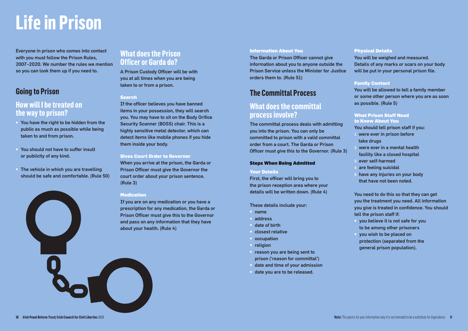# **Life in Prison**

Everyone in prison who comes into contact with you must follow the Prison Rules. 2007–2020. We number the rules we mention so you can look them up if you need to.

# **Going to Prison**

## **How will I be treated on the way to prison?**

- You have the right to be hidden from the public as much as possible while being taken to and from prison.
- You should not have to suffer insult or publicity of any kind.
- The vehicle in which you are travelling should be safe and comfortable. (Rule 50)

## **What does the Prison Officer or Garda do?**

A Prison Custody Officer will be with you at all times when you are being taken to or from a prison.

## **Search**

If the officer believes you have banned items in your possession, they will search you. You may have to sit on the Body Orifice Security Scanner (BOSS) chair. This is a highly sensitive metal detector, which can detect items like mobile phones if you hide them inside your body.

#### Gives Court Order to Governor

When you arrive at the prison, the Garda or Prison Officer must give the Governor the court order about your prison sentence. (Rule 3)

### **Medication**

If you are on any medication or you have a prescription for any medication, the Garda or Prison Officer must give this to the Governor and pass on any information that they have about your health. (Rule 4)

Information About You The Garda or Prison Officer cannot give information about you to anyone outside the Prison Service unless the Minister for Justice orders them to. (Rule 51)

# **The Committal Process**

## **What does the committal process involve?**

The committal process deals with admitting you into the prison. You can only be committed to prison with a valid committal order from a court. The Garda or Prison Officer must give this to the Governor. (Rule 3)

## Steps When Being Admitted

### Your Details

First, the officer will bring you to the prison reception area where your details will be written down. (Rule 4)

These details include your:

- name
- address
- date of birth
- closest relative
- **occupation**
- religion
- reason you are being sent to prison ('reason for committal')
- date and time of your admission
- date you are to be released.

### Physical Details

You will be weighed and measured. Details of any marks or scars on your body will be put in your personal prison file.

### Family Contact

You will be allowed to tell a family member or some other person where you are as soon as possible. (Rule 5)

### What Prison Staff Need to Know About You

You should tell prison staff if you:

- 1 were ever in prison before take drugs
- 2 were ever in a mental health facility like a closed hospital
- 3 ever self-harmed
- are feeling suicidal
- 5 have any injuries on your body that have not been noted.

You need to do this so that they can get you the treatment you need. All information you give is treated in confidence. You should tell the prison staff if:

- you believe it is not safe for you to be among other prisoners
- you wish to be placed on protection (separated from the general prison population).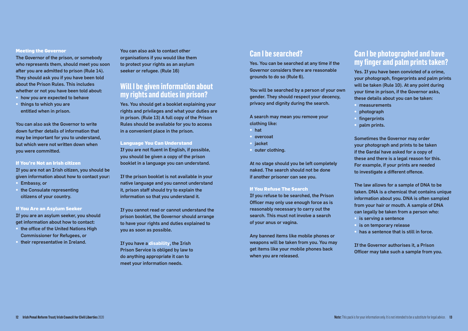#### Meeting the Governor

The Governor of the prison, or somebody who represents them, should meet you soon after you are admitted to prison (Rule 14). They should ask you if you have been told about the Prison Rules. This includes whether or not you have been told about:

- how you are expected to behave
- things to which you are entitled when in prison.

You can also ask the Governor to write down further details of information that may be important for you to understand, but which were not written down when you were committed.

#### If You're Not an Irish citizen

If you are not an Irish citizen, you should be given information about how to contact your:

- Embassy, or
- the Consulate representing citizens of your country.

#### If You Are an Asylum Seeker

If you are an asylum seeker, you should get information about how to contact:

- the office of the United Nations High Commissioner for Refugees, or
- their representative in Ireland.

You can also ask to contact other organisations if you would like them to protect your rights as an asylum seeker or refugee. (Rule 16)

## **Will I be given information about my rights and duties in prison?**

Yes. You should get a booklet explaining your rights and privileges and what your duties are in prison. (Rule 13) A full copy of the Prison Rules should be available for you to access in a convenient place in the prison.

#### Language You Can Understand

If you are not fluent in English, if possible, you should be given a copy of the prison booklet in a language you can understand.

If the prison booklet is not available in your native language and you cannot understand it, prison staff should try to explain the information so that you understand it.

If you cannot read or cannot understand the prison booklet, the Governor should arrange to have your rights and duties explained to you as soon as possible.

If you have a **disability**, the Irish Prison Service is obliged by law to do anything appropriate it can to meet your information needs.

## **Can I be searched?**

Yes. You can be searched at any time if the Governor considers there are reasonable grounds to do so (Rule 6).

You will be searched by a person of your own gender. They should respect your decency, privacy and dignity during the search.

A search may mean you remove your clothing like:

- hat
- overcoat
- jacket
- outer clothing.

At no stage should you be left completely naked. The search should not be done if another prisoner can see you.

#### If You Refuse The Search

If you refuse to be searched, the Prison Officer may only use enough force as is reasonably necessary to carry out the search. This must not involve a search of your anus or vagina.

Any banned items like mobile phones or weapons will be taken from you. You may get items like your mobile phones back when you are released.

# **Can I be photographed and have my finger and palm prints taken?**

Yes. If you have been convicted of a crime, your photograph, fingerprints and palm prints will be taken (Rule 10). At any point during your time in prison, if the Governor asks, these details about you can be taken:

- measurements
- photograph
- fingerprints
- palm prints.

Sometimes the Governor may order your photograph and prints to be taken if the Gardaí have asked for a copy of these and there is a legal reason for this. For example, if your prints are needed to investigate a different offence.

The law allows for a sample of DNA to be taken. DNA is a chemical that contains unique information about you. DNA is often sampled from your hair or mouth. A sample of DNA can legally be taken from a person who:

- *•* is serving a sentence
- is on temporary release
- has a sentence that is still in force.

If the Governor authorises it, a Prison Officer may take such a sample from you.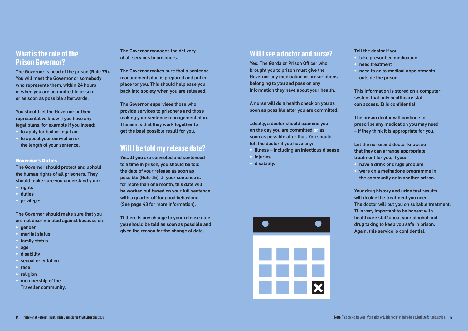## **What is the role of the Prison Governor?**

The Governor is head of the prison (Rule 75). You will meet the Governor or somebody who represents them, within 24 hours of when you are committed to prison, or as soon as possible afterwards.

You should let the Governor or their representative know if you have any legal plans, for example if you intend:

- to apply for bail or legal aid
- to appeal your conviction or the length of your sentence.

#### Governor's Duties

The Governor should protect and uphold the human rights of all prisoners. They should make sure you understand your:

- rights
- duties
- privileges.

The Governor should make sure that you are not discriminated against because of:

- gender
- marital status
- family status
- age
- disability
- sexual orientation
- race
- **religion**
- membership of the

Traveller community.

## The Governor manages the delivery of all services to prisoners.

The Governor makes sure that a sentence management plan is prepared and put in place for you. This should help ease you back into society when you are released.

The Governor supervises those who provide services to prisoners and those making your sentence management plan. The aim is that they work together to get the best possible result for you.

## **Will I be told my release date?**

Yes. If you are convicted and sentenced to a time in prison, you should be told the date of your release as soon as possible (Rule 15). If your sentence is for more than one month, this date will be worked out based on your full sentence with a quarter off for good behaviour. (See page 43 for more information).

If there is any change to your release date, you should be told as soon as possible and given the reason for the change of date.

## **Will I see a doctor and nurse?**

Yes. The Garda or Prison Officer who brought you to prison must give the Governor any medication or prescriptions belonging to you and pass on any information they have about your health.

A nurse will do a health check on you as soon as possible after you are committed.

Ideally, a doctor should examine you on the day you are committed **or** as soon as possible after that. You should tell the doctor if you have any:

- illness including an infectious disease
- injuries
- disability.



#### Tell the doctor if you:

- take prescribed medication
- need treatment
- need to go to medical appointments outside the prison.

This information is stored on a computer system that only healthcare staff can access. It is confidential.

The prison doctor will continue to prescribe any medication you may need – if they think it is appropriate for you.

Let the nurse and doctor know, so that they can arrange appropriate treatment for you, if you:

- have a drink or drugs problem
- were on a methadone programme in the community or in another prison.

Your drug history and urine test results will decide the treatment you need. The doctor will put you on suitable treatment. It is very important to be honest with healthcare staff about your alcohol and drug taking to keep you safe in prison. Again, this service is confidential.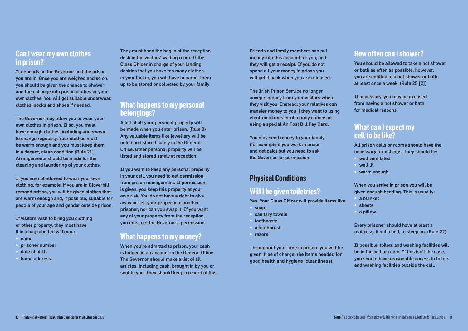## **Can I wear my own clothes in prison?**

It depends on the Governor and the prison you are in. Once you are weighed and so on, you should be given the chance to shower and then change into prison clothes or your own clothes. You will get suitable underwear, clothes, socks and shoes if needed.

The Governor may allow you to wear your own clothes in prison. If so, you must have enough clothes, including underwear, to change regularly. Your clothes must be warm enough and you must keep them in a decent, clean condition (Rule 21). Arrangements should be made for the cleaning and laundering of your clothes.

If you are not allowed to wear your own clothing, for example, if you are in Cloverhill remand prison, you will be given clothes that are warm enough and, if possible, suitable for people of your age and gender outside prison.

If visitors wish to bring you clothing or other property, they must have it in a bag labelled with your:

- name
- prisoner number
- date of birth
- home address.

They must hand the bag in at the reception desk in the visitors' waiting room. If the Class Officer in charge of your landing decides that you have too many clothes in your locker, you will have to parcel them up to be stored or collected by your family.

# **What happens to my personal belongings?**

A list of all your personal property will be made when you enter prison. (Rule 8) Any valuable items like jewellery will be noted and stored safely in the General Office. Other personal property will be listed and stored safely at reception.

If you want to keep any personal property in your cell, you need to get permission from prison management. If permission is given, you keep this property at your own risk. You do not have a right to give away or sell your property to another prisoner, nor can you swap it. If you want any of your property from the reception, you must get the Governor's permission.

# **What happens to my money?**

When you're admitted to prison, your cash is lodged in an account in the General Office. The Governor should make a list of all articles, including cash, brought in by you or sent to you. They should keep a record of this. Friends and family members can put money into this account for you, and they will get a receipt. If you do not spend all your money in prison you will get it back when you are released.

The Irish Prison Service no longer accepts money from your visitors when they visit you. Instead, your relatives can transfer money to you if they want to using electronic transfer of money options or using a special An Post Bill Pay Card.

You may send money to your family (for example if you work in prison and get paid) but you need to ask the Governor for permission.

# **Physical Conditions**

# **Will I be given toiletries?**

Yes. Your Class Officer will provide items like:

- soap
- sanitary towels
- toothpaste
- a toothbrush
- razors.

Throughout your time in prison, you will be given, free of charge, the items needed for good health and hygiene (cleanliness).

## **How often can I shower?**

You should be allowed to take a hot shower or bath as often as possible, however, you are entitled to a hot shower or bath at least once a week. (Rule 25 [2])

If necessary, you may be excused from having a hot shower or bath for medical reasons.

# **What can I expect my cell to be like?**

All prison cells or rooms should have the necessary furnishings. They should be:

- well ventilated
- well lit
- warm enough.

When you arrive in prison you will be given enough bedding. This is usually:

- a blanket
- sheets
- a pillow.

Every prisoner should have at least a mattress, if not a bed, to sleep on. (Rule 22)

If possible, toilets and washing facilities will be in the cell or room. If this isn't the case, you should have reasonable access to toilets and washing facilities outside the cell.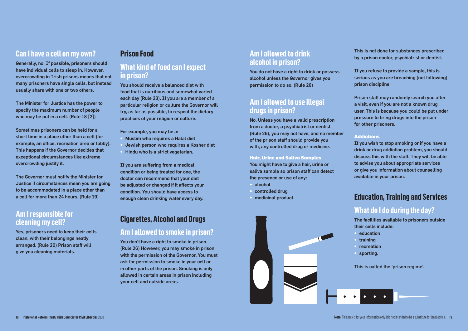# **Can I have a cell on my own?**

Generally, no. If possible, prisoners should have individual cells to sleep in. However, overcrowding in Irish prisons means that not many prisoners have single cells, but instead usually share with one or two others.

The Minister for Justice has the power to specify the maximum number of people who may be put in a cell. (Rule 18 [2])

Sometimes prisoners can be held for a short time in a place other than a cell (for example, an office, recreation area or lobby). This happens if the Governor decides that exceptional circumstances like extreme overcrowding justify it.

The Governor must notify the Minister for Justice if circumstances mean you are going to be accommodated in a place other than a cell for more than 24 hours. (Rule 19)

# **Am I responsible for cleaning my cell?**

Yes, prisoners need to keep their cells clean, with their belongings neatly arranged. (Rule 20) Prison staff will give you cleaning materials.

## **Prison Food**

## **What kind of food can I expect in prison?**

You should receive a balanced diet with food that is nutritious and somewhat varied each day (Rule 23). If you are a member of a particular religion or culture the Governor will try, as far as possible, to respect the dietary practices of your religion or culture.

For example, you may be a:

- Muslim who requires a Halal diet
- Jewish person who requires a Kosher diet
- Hindu who is a strict vegetarian.

If you are suffering from a medical condition or being treated for one, the doctor can recommend that your diet be adjusted or changed if it affects your condition. You should have access to enough clean drinking water every day.

# **Cigarettes, Alcohol and Drugs**

## **Am I allowed to smoke in prison?**

You don't have a right to smoke in prison. (Rule 26) However, you may smoke in prison with the permission of the Governor. You must ask for permission to smoke in your cell or in other parts of the prison. Smoking is only allowed in certain areas in prison including your cell and outside areas.

# **Am I allowed to drink alcohol in prison?**

You do not have a right to drink or possess alcohol unless the Governor gives you permission to do so. (Rule 26)

## **Am I allowed to use illegal drugs in prison?**

No. Unless you have a valid prescription from a doctor, a psychiatrist or dentist (Rule 26), you may not have, and no member of the prison staff should provide you with, any controlled drug or medicine.

### Hair, Urine and Saliva Samples

You might have to give a hair, urine or saliva sample so prison staff can detect the presence or use of any:

- alcohol
- controlled drug
- medicinal product.



This is not done for substances prescribed by a prison doctor, psychiatrist or dentist.

If you refuse to provide a sample, this is serious as you are breaching (not following) prison discipline.

Prison staff may randomly search you after a visit, even if you are not a known drug user. This is because you could be put under pressure to bring drugs into the prison for other prisoners.

## Addictions

If you wish to stop smoking or if you have a drink or drug addiction problem, you should discuss this with the staff. They will be able to advise you about appropriate services or give you information about counselling available in your prison.

# **Education, Training and Services**

# **What do I do during the day?**

The facilities available to prisoners outside their cells include:

- **education**
- training
- recreation
- sporting.

This is called the 'prison regime'.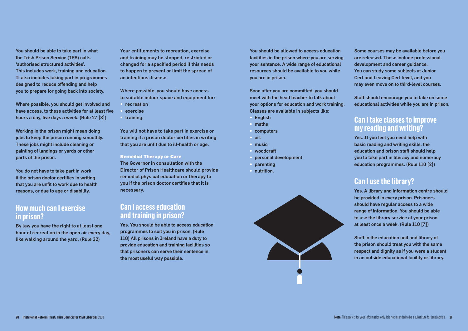You should be able to take part in what the Irish Prison Service (IPS) calls 'authorised structured activities'. This includes work, training and education. It also includes taking part in programmes designed to reduce offending and help you to prepare for going back into society.

Where possible, you should get involved and have access, to these activities for at least five hours a day, five days a week. (Rule 27 [3])

Working in the prison might mean doing jobs to keep the prison running smoothly. These jobs might include cleaning or painting of landings or yards or other parts of the prison.

You do not have to take part in work if the prison doctor certifies in writing that you are unfit to work due to health reasons, or due to age or disability.

## **How much can I exercise in prison?**

By law you have the right to at least one hour of recreation in the open air every day, like walking around the yard. (Rule 32)

Your entitlements to recreation, exercise and training may be stopped, restricted or changed for a specified period if this needs to happen to prevent or limit the spread of an infectious disease.

Where possible, you should have access to suitable indoor space and equipment for:

- recreation
- exercise
- training.

You will not have to take part in exercise or training if a prison doctor certifies in writing that you are unfit due to ill-health or age.

#### Remedial Therapy or Care

The Governor in consultation with the Director of Prison Healthcare should provide remedial physical education or therapy to you if the prison doctor certifies that it is necessary.

## **Can I access education and training in prison?**

Yes. You should be able to access education programmes to suit you in prison. (Rule 110) All prisons in Ireland have a duty to provide education and training facilities so that prisoners can serve their sentence in the most useful way possible.

You should be allowed to access education facilities in the prison where you are serving your sentence. A wide range of educational resources should be available to you while you are in prison.

Soon after you are committed, you should meet with the head teacher to talk about your options for education and work training. Classes are available in subjects like:

- **English**
- maths
- computers
- art
- music
- woodcraft
- personal development
- parenting
- nutrition.



Some courses may be available before you are released. These include professional development and career guidance. You can study some subjects at Junior Cert and Leaving Cert level, and you may even move on to third-level courses.

Staff should encourage you to take on some educational activities while you are in prison.

# **Can I take classes to improve my reading and writing?**

Yes. If you feel you need help with basic reading and writing skills, the education and prison staff should help you to take part in literacy and numeracy education programmes. (Rule 110 [2])

# **Can I use the library?**

Yes. A library and information centre should be provided in every prison. Prisoners should have regular access to a wide range of information. You should be able to use the library service at your prison at least once a week. (Rule 110 [7])

Staff in the education unit and library of the prison should treat you with the same respect and dignity as if you were a student in an outside educational facility or library.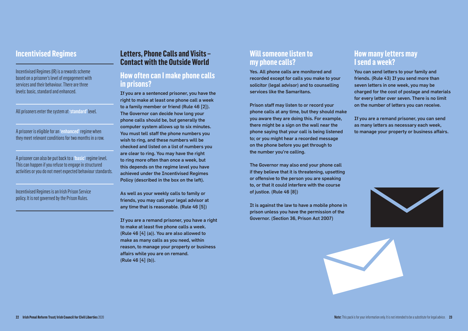## **Incentivised Regimes**

Incentivised Regimes (IR) is a rewards scheme based on a prisoner's level of engagement with services and their behaviour. There are three levels: basic, standard and enhanced.

## All prisoners enter the system at 'standard' level.

A prisoner is eligible for an 'enhanced' regime when they meet relevant conditions for two months in a row.

A prisoner can also be put back to a 'basic' regime level. This can happen if you refuse to engage in structured activities or you do not meet expected behaviour standards.

Incentivised Regimes is an Irish Prison Service policy. It is not governed by the Prison Rules.

## **Letters, Phone Calls and Visits – Contact with the Outside World**

## **How often can I make phone calls in prisons?**

If you are a sentenced prisoner, you have the right to make at least one phone call a week to a family member or friend (Rule 46 [2]). The Governor can decide how long your phone calls should be, but generally the computer system allows up to six minutes. You must tell staff the phone numbers you wish to ring, and these numbers will be checked and listed on a list of numbers you are clear to ring. You may have the right to ring more often than once a week, but this depends on the regime level you have achieved under the Incentivised Regimes Policy (described in the box on the left).

As well as your weekly calls to family or friends, you may call your legal advisor at any time that is reasonable. (Rule 46 [5])

If you are a remand prisoner, you have a right to make at least five phone calls a week. (Rule 46 [4] (a)). You are also allowed to make as many calls as you need, within reason, to manage your property or business affairs while you are on remand. (Rule 46 [4] (b)).

## **Will someone listen to my phone calls?**

Yes. All phone calls are monitored and recorded except for calls you make to your solicitor (legal advisor) and to counselling services like the Samaritans.

Prison staff may listen to or record your phone calls at any time, but they should make you aware they are doing this. For example, there might be a sign on the wall near the phone saying that your call is being listened to; or you might hear a recorded message on the phone before you get through to the number you're calling.

The Governor may also end your phone call if they believe that it is threatening, upsetting or offensive to the person you are speaking to, or that it could interfere with the course of justice. (Rule 46 [8])

It is against the law to have a mobile phone in prison unless you have the permission of the Governor. (Section 36, Prison Act 2007)

# **How many letters may I send a week?**

You can send letters to your family and friends. (Rule 43) If you send more than seven letters in one week, you may be charged for the cost of postage and materials for every letter over seven. There is no limit on the number of letters you can receive.

If you are a remand prisoner, you can send as many letters as necessary each week, to manage your property or business affairs.

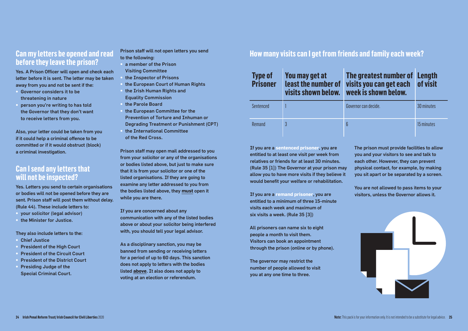# **before they leave the prison?**

Yes. A Prison Officer will open and check each letter before it is sent. The letter may be taken away from you and not be sent if the:

- Governor considers it to be threatening in nature
- person you're writing to has told the Governor that they don't want to receive letters from you.

Also, your letter could be taken from you if it could help a criminal offence to be committed or if it would obstruct (block) a criminal investigation.

## **Can I send any letters that will not be inspected?**

Yes. Letters you send to certain organisations or bodies will not be opened before they are sent. Prison staff will post them without delay. (Rule 44). These include letters to:

- your solicitor (legal advisor)
- the Minister for Justice.

They also include letters to the:

- Chief Justice
- President of the High Court
- President of the Circuit Court
- President of the District Court
- Presiding Judge of the Special Criminal Court.

Prison staff will not open letters you send to the following:

- a member of the Prison Visiting Committee
- the Inspector of Prisons
- the European Court of Human Rights
- the Irish Human Rights and Equality Commission
- the Parole Board
- the European Committee for the Prevention of Torture and Inhuman or Degrading Treatment or Punishment (CPT)
- the International Committee of the Red Cross.

Prison staff may open mail addressed to you from your solicitor or any of the organisations or bodies listed above, but just to make sure that it is from your solicitor or one of the listed organisations. If they are going to examine any letter addressed to you from the bodies listed above, they **must** open it while you are there.

If you are concerned about any communication with any of the listed bodies above or about your solicitor being interfered with, you should tell your legal advisor.

As a disciplinary sanction, you may be banned from sending or receiving letters for a period of up to 60 days. This sanction does not apply to letters with the bodies listed **above**. It also does not apply to voting at an election or referendum.

**Can my letters be opened and read expression staff will not open letters you send How many visits can I get from friends and family each week?** 

| <b>Type of</b><br><b>Prisoner</b> | You may get at<br>least the number of<br>visits shown below. | The greatest number of Length<br>visits you can get each<br>week is shown below. | of visit   |
|-----------------------------------|--------------------------------------------------------------|----------------------------------------------------------------------------------|------------|
| Sentenced                         |                                                              | Governor can decide.                                                             | 30 minutes |
| Remand                            | 3                                                            | ĥ                                                                                | 15 minutes |

If you are a **sentenced prisoner**, you are entitled to at least one visit per week from relatives or friends for at least 30 minutes. (Rule 35 [1]) The Governor at your prison may allow you to have more visits if they believe it would benefit your welfare or rehabilitation.

If you are a **remand prisoner**, you are entitled to a minimum of three 15-minute visits each week and maximum of six visits a week. (Rule 35 [3])

All prisoners can name six to eight people a month to visit them. Visitors can book an appointment through the prison (online or by phone).

The governor may restrict the number of people allowed to visit you at any one time to three.

The prison must provide facilities to allow you and your visitors to see and talk to each other. However, they can prevent physical contact, for example, by making you sit apart or be separated by a screen.

You are not allowed to pass items to your visitors, unless the Governor allows it.

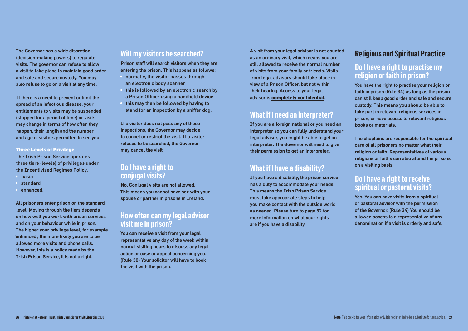The Governor has a wide discretion (decision-making powers) to regulate visits. The governor can refuse to allow a visit to take place to maintain good order and safe and secure custody. You may also refuse to go on a visit at any time.

If there is a need to prevent or limit the spread of an infectious disease, your entitlements to visits may be suspended (stopped for a period of time) or visits may change in terms of how often they happen, their length and the number and age of visitors permitted to see you.

#### Three Levels of Privilege

The Irish Prison Service operates three tiers (levels) of privileges under the Incentivised Regimes Policy.

- **basic**
- standard
- enhanced.

All prisoners enter prison on the standard level. Moving through the tiers depends on how well you work with prison services and on your behaviour while in prison. The higher your privilege level, for example 'enhanced', the more likely you are to be allowed more visits and phone calls. However, this is a policy made by the Irish Prison Service, it is not a right.

# **Will my visitors be searched?**

Prison staff will search visitors when they are entering the prison. This happens as follows: • normally, the visitor passes through

- an electronic body scanner
- **this is followed by an electronic search by** a Prison Officer using a handheld device
- this may then be followed by having to stand for an inspection by a sniffer dog.

If a visitor does not pass any of these inspections, the Governor may decide to cancel or restrict the visit. If a visitor refuses to be searched, the Governor may cancel the visit.

## **Do I have a right to conjugal visits?**

No. Conjugal visits are not allowed. This means you cannot have sex with your spouse or partner in prisons in Ireland.

## **How often can my legal advisor visit me in prison?**

You can receive a visit from your legal representative any day of the week within normal visiting hours to discuss any legal action or case or appeal concerning you. (Rule 38) Your solicitor will have to book the visit with the prison.

A visit from your legal advisor is not counted as an ordinary visit, which means you are still allowed to receive the normal number of visits from your family or friends. Visits from legal advisors should take place in view of a Prison Officer, but not within their hearing. Access to your legal advisor is **completely confidential**.

# **What if I need an interpreter?**

If you are a foreign national or you need an interpreter so you can fully understand your legal advisor, you might be able to get an interpreter. The Governor will need to give their permission to get an interpreter..

# **What if I have a disability?**

If you have a disability, the prison service has a duty to accommodate your needs. This means the Irish Prison Service must take appropriate steps to help you make contact with the outside world as needed. Please turn to page 52 for more information on what your rights are if you have a disability.

## **Religious and Spiritual Practice**

# **Do I have a right to practise my religion or faith in prison?**

You have the right to practise your religion or faith in prison (Rule 34) as long as the prison can still keep good order and safe and secure custody. This means you should be able to take part in relevant religious services in prison, or have access to relevant religious books or materials.

The chaplains are responsible for the spiritual care of all prisoners no matter what their religion or faith. Representatives of various religions or faiths can also attend the prisons on a visiting basis.

## **Do I have a right to receive spiritual or pastoral visits?**

Yes. You can have visits from a spiritual or pastoral advisor with the permission of the Governor. (Rule 34) You should be allowed access to a representative of any denomination if a visit is orderly and safe.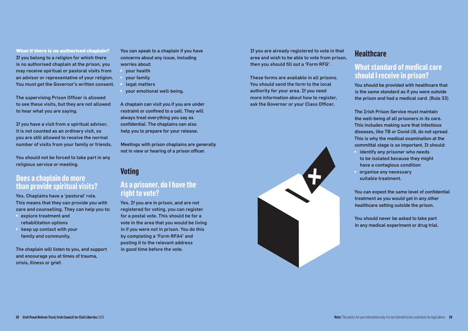What if there is no authorised chaplain? If you belong to a religion for which there is no authorised chaplain at the prison, you may receive spiritual or pastoral visits from an advisor or representative of your religion. You must get the Governor's written consent.

The supervising Prison Officer is allowed to see these visits, but they are not allowed to hear what you are saying.

If you have a visit from a spiritual advisor, it is not counted as an ordinary visit, so you are still allowed to receive the normal number of visits from your family or friends.

You should not be forced to take part in any religious service or meeting.

# **Does a chaplain do more than provide spiritual visits?**

Yes. Chaplains have a 'pastoral' role. This means that they can provide you with care and counselling. They can help you to:

- explore treatment and rehabilitation options
- keep up contact with your family and community.

The chaplain will listen to you, and support and encourage you at times of trauma, crisis, illness or grief.

You can speak to a chaplain if you have concerns about any issue, including worries about:

- your health
- your family
- legal matters
- your emotional well-being.

A chaplain can visit you if you are under restraint or confined to a cell. They will always treat everything you say as confidential. The chaplains can also help you to prepare for your release.

Meetings with prison chaplains are generally not in view or hearing of a prison officer.

# **Voting**

# **As a prisoner, do I have the right to vote?**

Yes. If you are in prison, and are not registered for voting, you can register for a postal vote. This should be for a vote in the area that you would be living in if you were not in prison. You do this by completing a 'Form RFA4' and posting it to the relevant address in good time before the vote.

If you are already registered to vote in that area and wish to be able to vote from prison, then you should fill out a 'Form RFG'.

These forms are available in all prisons. You should send the form to the local authority for your area. If you need more information about how to register, ask the Governor or your Class Officer.



## **Healthcare**

# **What standard of medical care should I receive in prison?**

You should be provided with healthcare that is the same standard as if you were outside the prison and had a medical card. (Rule 33)

The Irish Prison Service must maintain the well-being of all prisoners in its care. This includes making sure that infectious diseases, like TB or Covid-19, do not spread. This is why the medical examination at the committal stage is so important. It should:

- identify any prisoner who needs to be isolated because they might have a contagious condition
- organise any necessary suitable treatment.

You can expect the same level of confidential treatment as you would get in any other healthcare setting outside the prison.

You should never be asked to take part in any medical experiment or drug trial.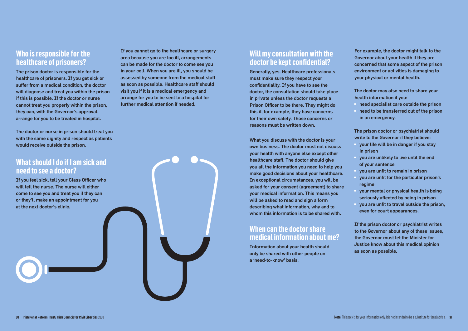## **Who is responsible for the healthcare of prisoners?**

The prison doctor is responsible for the healthcare of prisoners. If you get sick or suffer from a medical condition, the doctor will diagnose and treat you within the prison if this is possible. If the doctor or nurse cannot treat you properly within the prison, they can, with the Governor's approval, arrange for you to be treated in hospital.

The doctor or nurse in prison should treat you with the same dignity and respect as patients would receive outside the prison.

# **What should I do if I am sick and need to see a doctor?**

If you feel sick, tell your Class Officer who will tell the nurse. The nurse will either come to see you and treat you if they can or they'll make an appointment for you at the next doctor's clinic.

If you cannot go to the healthcare or surgery area because you are too ill, arrangements can be made for the doctor to come see you in your cell. When you are ill, you should be assessed by someone from the medical staff as soon as possible. Healthcare staff should visit you if it is a medical emergency and arrange for you to be sent to a hospital for further medical attention if needed.

# **Will my consultation with the doctor be kept confidential?**

Generally, yes. Healthcare professionals must make sure they respect your confidentiality. If you have to see the doctor, the consultation should take place in private unless the doctor requests a Prison Officer to be there. They might do this if, for example, they have concerns for their own safety. Those concerns or reasons must be written down.

What you discuss with the doctor is your own business. The doctor must not discuss your health with anyone else except other healthcare staff. The doctor should give you all the information you need to help you make good decisions about your healthcare. In exceptional circumstances, you will be asked for your consent (agreement) to share your medical information. This means you will be asked to read and sign a form describing what information, why and to whom this information is to be shared with.

## **When can the doctor share medical information about me?**

Information about your health should only be shared with other people on a 'need-to-know' basis.

For example, the doctor might talk to the Governor about your health if they are concerned that some aspect of the prison environment or activities is damaging to your physical or mental health.

The doctor may also need to share your health information if you:

- need specialist care outside the prison
- need to be transferred out of the prison in an emergency.

The prison doctor or psychiatrist should write to the Governor if they believe:

- your life will be in danger if you stay in prison
- you are unlikely to live until the end of your sentence
- you are unfit to remain in prison
- you are unfit for the particular prison's regime
- your mental or physical health is being seriously affected by being in prison
- you are unfit to travel outside the prison, even for court appearances.

If the prison doctor or psychiatrist writes to the Governor about any of these issues, the Governor must let the Minister for Justice know about this medical opinion as soon as possible.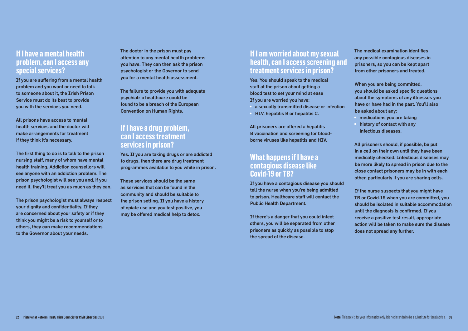## **If I have a mental health problem, can I access any special services?**

If you are suffering from a mental health problem and you want or need to talk to someone about it, the Irish Prison Service must do its best to provide you with the services you need.

All prisons have access to mental health services and the doctor will make arrangements for treatment if they think it's necessary.

The first thing to do is to talk to the prison nursing staff, many of whom have mental health training. Addiction counsellors will see anyone with an addiction problem. The prison psychologist will see you and, if you need it, they'll treat you as much as they can.

The prison psychologist must always respect your dignity and confidentiality. If they are concerned about your safety or if they think you might be a risk to yourself or to others, they can make recommendations to the Governor about your needs.

The doctor in the prison must pay attention to any mental health problems you have. They can then ask the prison psychologist or the Governor to send you for a mental health assessment.

The failure to provide you with adequate psychiatric healthcare could be found to be a breach of the European Convention on Human Rights.

## **If I have a drug problem, can I access treatment services in prison?**

Yes. If you are taking drugs or are addicted to drugs, then there are drug treatment programmes available to you while in prison.

These services should be the same as services that can be found in the community and should be suitable to the prison setting. If you have a history of opiate use and you test positive, you may be offered medical help to detox.

# **If I am worried about my sexual health, can I access screening and treatment services in prison?**

Yes. You should speak to the medical staff at the prison about getting a blood test to set your mind at ease If you are worried you have:

- a sexually transmitted disease or infection
- HIV, hepatitis B or hepatitis C.

All prisoners are offered a hepatitis B vaccination and screening for bloodborne viruses like hepatitis and HIV.

## **What happens if I have a contagious disease like Covid-19 or TB?**

If you have a contagious disease you should tell the nurse when you're being admitted to prison. Healthcare staff will contact the Public Health Department.

If there's a danger that you could infect others, you will be separated from other prisoners as quickly as possible to stop the spread of the disease.

The medical examination identifies any possible contagious diseases in prisoners, so you can be kept apart from other prisoners and treated.

When you are being committed, you should be asked specific questions about the symptoms of any illnesses you have or have had in the past. You'll also be asked about any:

- medications you are taking
- history of contact with any infectious diseases.

All prisoners should, if possible, be put in a cell on their own until they have been medically checked. Infectious diseases may be more likely to spread in prison due to the close contact prisoners may be in with each other, particularly if you are sharing cells.

If the nurse suspects that you might have TB or Covid-19 when you are committed, you should be isolated in suitable accommodation until the diagnosis is confirmed. If you receive a positive test result, appropriate action will be taken to make sure the disease does not spread any further.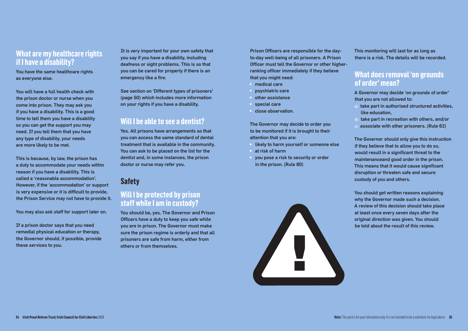# **What are my healthcare rights if I have a disability?**

You have the same healthcare rights as everyone else.

You will have a full health check with the prison doctor or nurse when you come into prison. They may ask you if you have a disability. This is a good time to tell them you have a disability so you can get the support you may need. If you tell them that you have any type of disability, your needs are more likely to be met.

This is because, by law, the prison has a duty to accommodate your needs within reason if you have a disability. This is called a 'reasonable accommodation'. However, if the 'accommodation' or support is very expensive or it is difficult to provide, the Prison Service may not have to provide it.

You may also ask staff for support later on.

If a prison doctor says that you need remedial physical education or therapy, the Governor should, if possible, provide these services to you.

It is very important for your own safety that you say if you have a disability, including deafness or sight problems. This is so that you can be cared for properly if there is an emergency like a fire.

See section on 'Different types of prisoners' (page 50) which includes more information on your rights if you have a disability.

# **Will I be able to see a dentist?**

Yes. All prisons have arrangements so that you can access the same standard of dental treatment that is available in the community. You can ask to be placed on the list for the dentist and, in some instances, the prison doctor or nurse may refer you.

# **Safety**

## **Will I be protected by prison staff while I am in custody?**

You should be, yes. The Governor and Prison Officers have a duty to keep you safe while you are in prison. The Governor must make sure the prison regime is orderly and that all prisoners are safe from harm, either from others or from themselves.

Prison Officers are responsible for the dayto-day well-being of all prisoners. A Prison Officer must tell the Governor or other higherranking officer immediately if they believe that you might need:

- medical care
- psychiatric care
- other assistance
- special care
- close observation.

The Governor may decide to order you to be monitored if it is brought to their attention that you are:

- likely to harm yourself or someone else at risk of harm
- you pose a risk to security or order in the prison. (Rule 80)



This monitoring will last for as long as there is a risk. The details will be recorded.

## **What does removal 'on grounds of order' mean?**

A Governor may decide 'on grounds of order' that you are not allowed to:

- a) take part in authorised structured activities, like education,
- b) take part in recreation with others, and/or
- c) associate with other prisoners. (Rule 62)

The Governor should only give this instruction if they believe that to allow you to do so, would result in a significant threat to the maintenanceand good order in the prison. This means that it would cause significant disruption or threaten safe and secure custody of you and others.

You should get written reasons explaining why the Governor made such a decision. A review of this decision should take place at least once every seven days after the original direction was given. You should be told about the result of this review.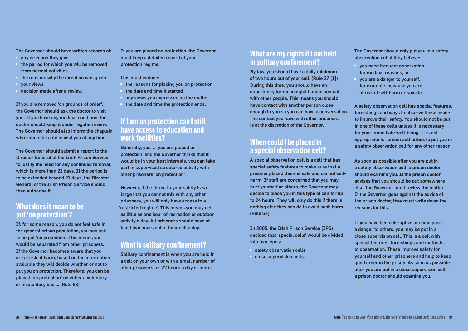The Governor should have written records of:

- any direction they give
- the period for which you will be removed from normal activities
- the reasons why the direction was given
- your views
- decision made after a review.

If you are removed 'on grounds of order'. the Governor should ask the doctor to visit you. If you have any medical condition, the doctor should keep it under regular review. The Governor should also inform the chaplain who should be able to visit you at any time.

The Governor should submit a report to the Director General of the Irish Prison Service to justify the need for any continued removal, which is more than 21 days. If the period is to be extended beyond 21 days, the Director General of the Irish Prison Service should then authorise it.

# **What does it mean to be put 'on protection'?**

If, for some reason, you do not feel safe in the general prison population, you can ask to be put 'on protection'. This means you would be separated from other prisoners. If the Governor becomes aware that you are at risk of harm, based on the information available they will decide whether or not to put you on protection. Therefore, you can be placed 'on protection' on either a voluntary or involuntary basis. (Rule 63)

If you are placed on protection, the Governor must keep a detailed record of your protection regime.

This must include:

- the reasons for placing you on protection
- the date and time it started
- any views you expressed on the matter
- the date and time the protection ends.

## **If I am on protection can I still have access to education and work facilities?**

Generally, yes. If you are placed on protection, and the Governor thinks that it would be in your best interests, you can take part in supervised structured activity with other prisoners 'on protection'.

However, if the threat to your safety is so large that you cannot mix with any other prisoners, you will only have access to a 'restricted regime'. This means you may get as little as one hour of recreation or outdoor activity a day. All prisoners should have at least two hours out of their cell a day.

# **What is solitary confinement?**

Solitary confinement is when you are held in a cell on your own or with a small number of other prisoners for 22 hours a day or more.

# **What are my rights if I am held in solitary confinement?**

By law, you should have a daily minimum of two hours out of your cell. (Rule 27 [1]) During this time, you should have an opportunity for meaningful human contact with other people. This means you should have contact with another person close enough to you so you can have a conversation. The contact you have with other prisoners is at the discretion of the Governor.

# **When could I be placed in a special observation cell?**

A special observation cell is a cell that has special safety features to make sure that a prisoner placed there is safe and cannot selfharm. If staff are concerned that you may hurt yourself or others, the Governor may decide to place you in this type of cell for up to 24 hours. They will only do this if there is nothing else they can do to avoid such harm. (Rule 64)

In 2005, the Irish Prison Service (IPS) decided that 'special cells' would be divided into two types:

- safety observation cells
- close supervision cells.

The Governor should only put you in a safety observation cell if they believe:

- you need frequent observation for medical reasons, or
- you are a danger to yourself, for example, because you are at risk of self-harm or suicide.

A safety observation cell has special features, furnishings and ways to observe those inside to improve their safety. You should not be put in one of these cells unless it is necessary for your immediate well-being. It is not appropriate for prison authorities to put you in a safety observation cell for any other reason.

As soon as possible after you are put in a safety observation cell, a prison doctor should examine you. If the prison doctor advises that you should be put somewhere else, the Governor must review the matter. If the Governor goes against the advice of the prison doctor, they must write down the reasons for this.

If you have been disruptive or if you pose a danger to others, you may be put in a close supervision cell. This is a cell with special features, furnishings and methods of observation. These improve safety for yourself and other prisoners and help to keep good order in the prison. As soon as possible after you are put in a close supervision cell, a prison doctor should examine you.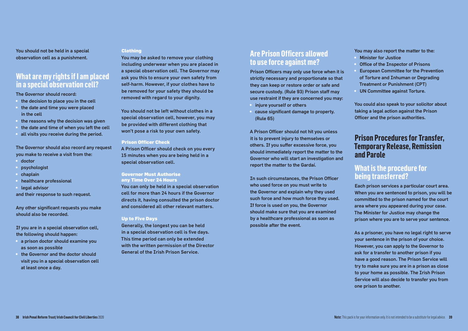You should not be held in a special observation cell as a punishment.

# **What are my rights if I am placed in a special observation cell?**

#### The Governor should record:

- the decision to place you in the cell
- the date and time you were placed in the cell
- the reasons why the decision was given
- the date and time of when you left the cell
- all visits you receive during the period.

The Governor should also record any request you make to receive a visit from the:

- doctor
- **psychologist**
- chaplain
- healthcare professional
- legal advisor

and their response to such request.

Any other significant requests you make should also be recorded.

If you are in a special observation cell, the following should happen:

- a prison doctor should examine you as soon as possible
- the Governor and the doctor should visit you in a special observation cell at least once a day.

#### Clothing

You may be asked to remove your clothing including underwear when you are placed in a special observation cell. The Governor may ask you this to ensure your own safety from self-harm. However, if your clothes have to be removed for your safety they should be removed with regard to your dignity.

You should not be left without clothes in a special observation cell, however, you may be provided with different clothing that won't pose a risk to your own safety.

#### Prison Officer Check

A Prison Officer should check on you every 15 minutes when you are being held in a special observation cell.

#### Governor Must Authorise any Time Over 24 Hours

You can only be held in a special observation cell for more than 24 hours if the Governor directs it, having consulted the prison doctor and considered all other relevant matters.

#### Up to Five Days

Generally, the longest you can be held in a special observation cell is five days. This time period can only be extended with the written permission of the Director General of the Irish Prison Service.

# **Are Prison Officers allowed to use force against me?**

Prison Officers may only use force when it is strictly necessary and proportionate so that they can keep or restore order or safe and secure custody. (Rule 93) Prison staff may use restraint if they are concerned you may:

- injure yourself or others
- cause significant damage to property. (Rule 65)

A Prison Officer should not hit you unless it is to prevent injury to themselves or others. If you suffer excessive force, you should immediately report the matter to the Governor who will start an investigation and report the matter to the Gardaí.

In such circumstances, the Prison Officer who used force on you must write to the Governor and explain why they used such force and how much force they used. If force is used on you, the Governor should make sure that you are examined by a healthcare professional as soon as possible after the event.

You may also report the matter to the:

- Minister for Justice
- **Office of the Inspector of Prisons**
- European Committee for the Prevention of Torture and Inhuman or Degrading Treatment or Punishment (CPT)
- UN Committee against Torture.

You could also speak to your solicitor about taking a legal action against the Prison Officer and the prison authorities.

## **Prison Procedures for Transfer, Temporary Release, Remission and Parole**

## **What is the procedure for being transferred?**

Each prison services a particular court area. When you are sentenced to prison, you will be committed to the prison named for the court area where you appeared during your case. The Minister for Justice may change the prison where you are to serve your sentence.

As a prisoner, you have no legal right to serve your sentence in the prison of your choice. However, you can apply to the Governor to ask for a transfer to another prison if you have a good reason. The Prison Service will try to make sure you are in a prison as close to your home as possible. The Irish Prison Service will also decide to transfer you from one prison to another.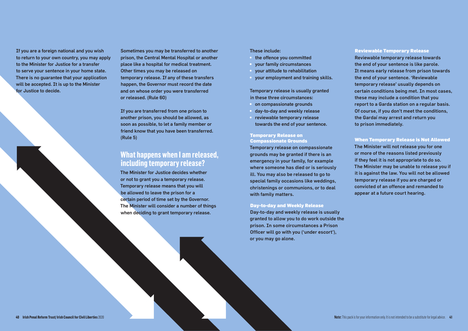If you are a foreign national and you wish to return to your own country, you may apply to the Minister for Justice for a transfer to serve your sentence in your home state. There is no quarantee that your application will be accepted. It is up to the Minister for Justice to decide.

Sometimes you may be transferred to another prison, the Central Mental Hospital or another place like a hospital for medical treatment. Other times you may be released on temporary release. If any of these transfers happen, the Governor must record the date and on whose order you were transferred or released. (Rule 60)

If you are transferred from one prison to another prison, you should be allowed, as soon as possible, to let a family member or friend know that you have been transferred. (Rule 5)

## **What happens when I am released, including temporary release?**

The Minister for Justice decides whether or not to grant you a temporary release. Temporary release means that you will be allowed to leave the prison for a certain period of time set by the Governor. The Minister will consider a number of things when deciding to grant temporary release.

#### These include:

- the offence you committed
- your family circumstances
- your attitude to rehabilitation
- your employment and training skills.

Temporary release is usually granted in these three circumstances:

- on compassionate grounds
- day-to-day and weekly release
- reviewable temporary release towards the end of your sentence.

#### Temporary Release on Compassionate Grounds

Temporary release on compassionate grounds may be granted if there is an emergency in your family, for example where someone has died or is seriously ill. You may also be released to go to special family occasions like weddings, christenings or communions, or to deal with family matters.

#### Day-to-day and Weekly Release

Day-to-day and weekly release is usually granted to allow you to do work outside the prison. In some circumstances a Prison Officer will go with you ('under escort'), or you may go alone.

Reviewable Temporary Release Reviewable temporary release towards the end of your sentence is like parole. It means early release from prison towards the end of your sentence. 'Reviewable temporary release' usually depends on certain conditions being met. In most cases, these may include a condition that you report to a Garda station on a regular basis. Of course, if you don't meet the conditions, the Gardaí may arrest and return you to prison immediately.

#### When Temporary Release is Not Allowed

The Minister will not release you for one or more of the reasons listed previously if they feel it is not appropriate to do so. The Minister may be unable to release you if it is against the law. You will not be allowed temporary release if you are charged or convicted of an offence and remanded to appear at a future court hearing.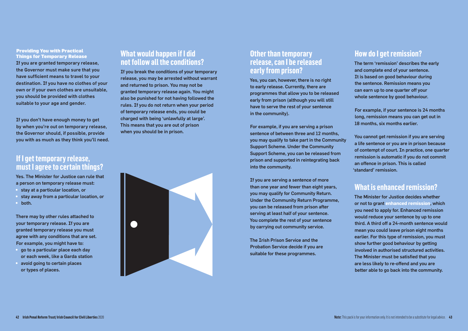### Providing You with Practical Things for Temporary Release

If you are granted temporary release, the Governor must make sure that you have sufficient means to travel to your destination. If you have no clothes of your own or if your own clothes are unsuitable, you should be provided with clothes suitable to your age and gender.

If you don't have enough money to get by when you're out on temporary release, the Governor should, if possible, provide you with as much as they think you'll need.

## **If I get temporary release, must I agree to certain things?**

Yes. The Minister for Justice can rule that a person on temporary release must:

- stay at a particular location, or
- stay away from a particular location, or
- both.

There may by other rules attached to your temporary release. If you are granted temporary release you must agree with any conditions that are set. For example, you might have to:

- go to a particular place each day or each week, like a Garda station
- avoid going to certain places or types of places.

## **What would happen if I did not follow all the conditions?**

If you break the conditions of your temporary release, you may be arrested without warrant and returned to prison. You may not be granted temporary release again. You might also be punished for not having followed the rules. If you do not return when your period of temporary release ends, you could be charged with being 'unlawfully at large'. This means that you are out of prison when you should be in prison.



## **Other than temporary release, can I be released early from prison?**

Yes, you can, however, there is no right to early release. Currently, there are programmes that allow you to be released early from prison (although you will still have to serve the rest of your sentence in the community).

For example, if you are serving a prison sentence of between three and 12 months, you may qualify to take part in the Community Support Scheme. Under the Community Support Scheme, you can be released from prison and supported in reintegrating back into the community.

If you are serving a sentence of more than one year and fewer than eight years, you may qualify for Community Return. Under the Community Return Programme, you can be released from prison after serving at least half of your sentence. You complete the rest of your sentence by carrying out community service.

The Irish Prison Service and the Probation Service decide if you are suitable for these programmes.

# **How do I get remission?**

The term 'remission' describes the early and complete end of your sentence. It is based on good behaviour during the sentence. Remission means you can earn up to one quarter off your whole sentence by good behaviour.

For example, if your sentence is 24 months long, remission means you can get out in 18 months, six months earlier.

You cannot get remission if you are serving a life sentence or you are in prison because of contempt of court. In practice, one quarter remission is automatic if you do not commit an offence in prison. This is called 'standard' remission.

# **What is enhanced remission?**

The Minister for Justice decides whether or not to grant **enhanced remission**, which you need to apply for. Enhanced remission would reduce your sentence by up to one third. A third off a 24-month sentence would mean you could leave prison eight months earlier. For this type of remission, you must show further good behaviour by getting involved in authorised structured activities. The Minister must be satisfied that you are less likely to re-offend and you are better able to go back into the community.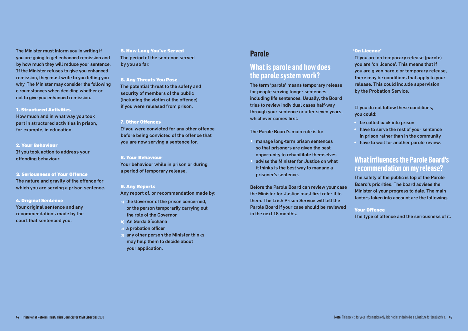The Minister must inform you in writing if you are going to get enhanced remission and by how much they will reduce your sentence. If the Minister refuses to give you enhanced remission, they must write to you telling you why. The Minister may consider the following circumstances when deciding whether or not to give you enhanced remission.

### 1. Structured Activities

How much and in what way you took part in structured activities in prison, for example, in education.

#### 2. Your Behaviour

If you took action to address your offending behaviour.

#### 3. Seriousness of Your Offence

The nature and gravity of the offence for which you are serving a prison sentence.

#### 4. Original Sentence

Your original sentence and any recommendations made by the court that sentenced you.

5. How Long You've Served The period of the sentence served by you so far.

#### 6. Any Threats You Pose

The potential threat to the safety and security of members of the public (including the victim of the offence) if you were released from prison.

#### 7. Other Offences

If you were convicted for any other offence before being convicted of the offence that you are now serving a sentence for.

#### 8. Your Behaviour

Your behaviour while in prison or during a period of temporary release.

#### 9. Any Reports

Any report of, or recommendation made by:

- a) the Governor of the prison concerned, or the person temporarily carrying out the role of the Governor
- b) An Garda Síochána
- c) a probation officer
- d) any other person the Minister thinks may help them to decide about your application.

## **Parole**

## **What is parole and how does the parole system work?**

The term 'parole' means temporary release for people serving longer sentences, including life sentences. Usually, the Board tries to review individual cases half-way through your sentence or after seven years, whichever comes first.

The Parole Board's main role is to:

- manage long-term prison sentences so that prisoners are given the best opportunity to rehabilitate themselves
- advise the Minister for Justice on what it thinks is the best way to manage a prisoner's sentence.

Before the Parole Board can review your case the Minister for Justice must first refer it to them. The Irish Prison Service will tell the Parole Board if your case should be reviewed in the next 18 months.

#### 'On Licence'

If you are on temporary release (parole) you are 'on licence'. This means that if you are given parole or temporary release, there may be conditions that apply to your release. This could include supervision by the Probation Service.

If you do not follow these conditions, you could:

- be called back into prison
- have to serve the rest of your sentence in prison rather than in the community
- have to wait for another parole review.

## **What influences the Parole Board's recommendation on my release?**

The safety of the public is top of the Parole Board's priorities. The board advises the Minister of your progress to date. The main factors taken into account are the following.

### Your Offence

The type of offence and the seriousness of it.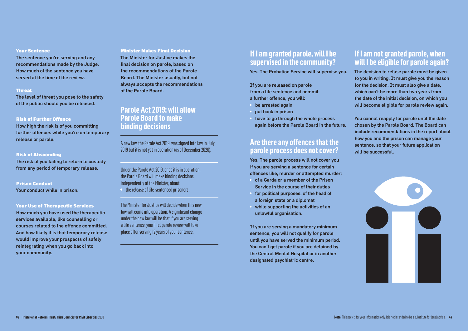#### Your Sentence

The sentence you're serving and any recommendations made by the Judge. How much of the sentence you have served at the time of the review.

#### **Threat**

The level of threat you pose to the safety of the public should you be released.

### Risk of Further Offence

How high the risk is of you committing further offences while you're on temporary release or parole.

#### Risk of Absconding

The risk of you failing to return to custody from any period of temporary release.

#### Prison Conduct

Your conduct while in prison.

### Your Use of Therapeutic Services

How much you have used the therapeutic services available, like counselling or courses related to the offence committed. And how likely it is that temporary release would improve your prospects of safely reintegrating when you go back into your community.

#### Minister Makes Final Decision

The Minister for Justice makes the final decision on parole, based on the recommendations of the Parole Board. The Minister usually, but not always,accepts the recommendations of the Parole Board.

## **Parole Act 2019: will allow Parole Board to make binding decisions**

A new law, the Parole Act 2019, was signed into law in July 2019 but it is not yet in operation (as of December 2020).

Under the Parole Act 2019, once it is in operation, the Parole Board will make binding decisions, independently of the Minister, about:

• the release of life-sentenced prisoners.

The Minister for Justice will decide when this new law will come into operation. A significant change under the new law will be that if you are serving a life sentence, your first parole review will take place after serving 12 years of your sentence.

# **If I am granted parole, will I be supervised in the community?**

Yes. The Probation Service will supervise you.

If you are released on parole from a life sentence and commit

- a further offence, you will:
- be arrested again
- put back in prison
- have to go through the whole process again before the Parole Board in the future.

## **Are there any offences that the parole process does not cover?**

Yes. The parole process will not cover you if you are serving a sentence for certain offences like, murder or attempted murder:

- of a Garda or a member of the Prison Service in the course of their duties
- for political purposes, of the head of a foreign state or a diplomat
- while supporting the activities of an unlawful organisation.

If you are serving a mandatory minimum sentence, you will not qualify for parole until you have served the minimum period. You can't get parole if you are detained by the Central Mental Hospital or in another designated psychiatric centre.

# **If I am not granted parole, when will I be eligible for parole again?**

The decision to refuse parole must be given to you in writing. It must give you the reason for the decision. It must also give a date, which can't be more than two years from the date of the initial decision, on which you will become eligible for parole review again.

You cannot reapply for parole until the date chosen by the Parole Board. The Board can include recommendations in the report about how you and the prison can manage your sentence, so that your future application will be successful.

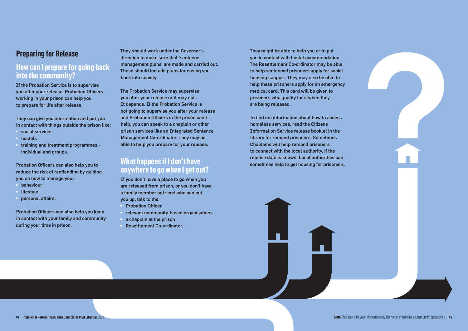## **Preparing for Release**

## **How can I prepare for going back into the community?**

If the Probation Service is to supervise you after your release, Probation Officers working in your prison can help you to prepare for life after release.

They can give you information and put you in contact with things outside the prison like:

- social services
- hostels
- training and treatment programmes individual and groups.

Probation Officers can also help you to reduce the risk of reoffending by guiding you on how to manage your:

- behaviour
- lifestyle
- personal affairs.

Probation Officers can also help you keep in contact with your family and community during your time in prison.

They should work under the Governor's direction to make sure that 'sentence management plans' are made and carried out. These should include plans for easing you back into society.

The Probation Service may supervise you after your release or it may not. It depends. If the Probation Service is not going to supervise you after your release and Probation Officers in the prison can't help, you can speak to a chaplain or other prison services like an Integrated Sentence Management Co-ordinator. They may be able to help you prepare for your release.

## **What happens if I don't have anywhere to go when I get out?**

If you don't have a place to go when you are released from prison, or you don't have a family member or friend who can put you up, talk to the:

- **Probation Officer**
- relevant community-based organisations
- a chaplain at the prison
- Resettlement Co-ordinator.

They might be able to help you or to put you in contact with hostel accommodation. The Resettlement Co-ordinator may be able to help sentenced prisoners apply for social housing support. They may also be able to help these prisoners apply for an emergency medical card. This card will be given to prisoners who qualify for it when they are being released.

To find out information about how to access homeless services, read the Citizens Information Service release booklet in the library for remand prisoners. Sometimes Chaplains will help remand prisoners to connect with the local authority, if the release date is known. Local authorities can sometimes help to get housing for prisoners.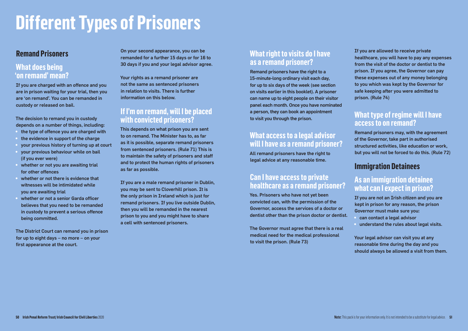# **Different Types of Prisoners**

# **Remand Prisoners**

## **What does being 'on remand' mean?**

If you are charged with an offence and you are in prison waiting for your trial, then you are 'on remand'. You can be remanded in custody or released on bail.

The decision to remand you in custody depends on a number of things, including:

- the type of offence you are charged with
- the evidence in support of the charge
- your previous history of turning up at court
- your previous behaviour while on bail (if you ever were)
- whether or not you are awaiting trial for other offences
- whether or not there is evidence that witnesses will be intimidated while you are awaiting trial
- whether or not a senior Garda officer believes that you need to be remanded in custody to prevent a serious offence being committed.

The District Court can remand you in prison for up to eight days – no more – on your first appearance at the court.

On your second appearance, you can be remanded for a further 15 days or for 16 to 30 days if you and your legal advisor agree.

Your rights as a remand prisoner are not the same as sentenced prisoners in relation to visits. There is further information on this below.

# **If I'm on remand, will I be placed with convicted prisoners?**

This depends on what prison you are sent to on remand. The Minister has to, as far as it is possible, separate remand prisoners from sentenced prisoners. (Rule 71) This is to maintain the safety of prisoners and staff and to protect the human rights of prisoners as far as possible.

If you are a male remand prisoner in Dublin, you may be sent to Cloverhill prison. It is the only prison in Ireland which is just for remand prisoners. If you live outside Dublin, then you will be remanded in the nearest prison to you and you might have to share a cell with sentenced prisoners.

# **What right to visits do I have as a remand prisoner?**

Remand prisoners have the right to a 15-minute-long ordinary visit each day, for up to six days of the week (see section on visits earlier in this booklet). A prisoner can name up to eight people on their visitor panel each month. Once you have nominated a person, they can book an appointment to visit you through the prison.

# **What access to a legal advisor will I have as a remand prisoner?**

All remand prisoners have the right to legal advice at any reasonable time.

# **Can I have access to private healthcare as a remand prisoner?**

Yes. Prisoners who have not yet been convicted can, with the permission of the Governor, access the services of a doctor or dentist other than the prison doctor or dentist.

The Governor must agree that there is a real medical need for the medical professional to visit the prison. (Rule 73)

If you are allowed to receive private healthcare, you will have to pay any expenses from the visit of the doctor or dentist to the prison. If you agree, the Governor can pay these expenses out of any money belonging to you which was kept by the Governor for safe keeping after you were admitted to prison. (Rule 74)

# **What type of regime will I have access to on remand?**

Remand prisoners may, with the agreement of the Governor, take part in authorised structured activities, like education or work, but you will not be forced to do this. (Rule 72)

# **Immigration Detainees**

# **As an immigration detainee what can I expect in prison?**

If you are not an Irish citizen and you are kept in prison for any reason, the prison Governor must make sure you:

- can contact a legal advisor
- **understand the rules about legal visits.**

Your legal advisor can visit you at any reasonable time during the day and you should always be allowed a visit from them.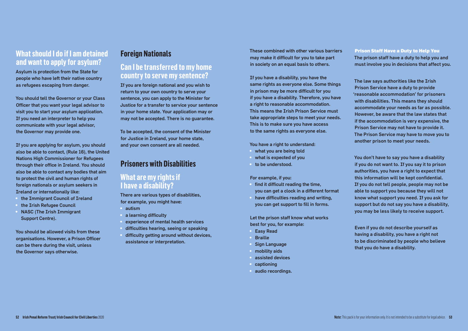# **What should I do if I am detained and want to apply for asylum?**

Asylum is protection from the State for people who have left their native country as refugees escaping from danger.

You should tell the Governor or your Class Officer that you want your legal advisor to visit you to start your asylum application. If you need an interpreter to help you communicate with your legal advisor, the Governor may provide one.

If you are applying for asylum, you should also be able to contact, (Rule 16), the United Nations High Commissioner for Refugees through their office in Ireland. You should also be able to contact any bodies that aim to protect the civil and human rights of foreign nationals or asylum seekers in Ireland or internationally like:

- the Immigrant Council of Ireland
- the Irish Refugee Council
- NASC (The Irish Immigrant Support Centre).

You should be allowed visits from these organisations. However, a Prison Officer can be there during the visit, unless the Governor says otherwise.

## **Foreign Nationals**

## **Can I be transferred to my home country to serve my sentence?**

If you are foreign national and you wish to return to your own country to serve your sentence, you can apply to the Minister for Justice for a transfer to service your sentence in your home state. Your application may or may not be accepted. There is no guarantee.

To be accepted, the consent of the Minister for Justice in Ireland, your home state, and your own consent are all needed.

# **Prisoners with Disabilities**

## **What are my rights if I have a disability?**

There are various types of disabilities, for example, you might have:

- autism
- a learning difficulty
- experience of mental health services • difficulties hearing, seeing or speaking
- difficulty getting around without devices, assistance or interpretation.

These combined with other various barriers may make it difficult for you to take part in society on an equal basis to others.

If you have a disability, you have the same rights as everyone else. Some things in prison may be more difficult for you if you have a disability. Therefore, you have a right to reasonable accommodation. This means the Irish Prison Service must take appropriate steps to meet your needs. This is to make sure you have access to the same rights as everyone else.

You have a right to understand:

- what you are being told
- what is expected of you
- to be understood.

For example, if you:

- find it difficult reading the time. you can get a clock in a different format
- have difficulties reading and writing, you can get support to fill in forms.

Let the prison staff know what works best for you, for example:

- **Easy Read**
- **Braille**
- Sign Language
- mobility aids
- assisted devices
- captioning
- audio recordings.

Prison Staff Have a Duty to Help You The prison staff have a duty to help you and must involve you in decisions that affect you.

The law says authorities like the Irish Prison Service have a duty to provide 'reasonable accommodation' for prisoners with disabilities. This means they should accommodate your needs as far as possible. However, be aware that the law states that if the accommodation is very expensive, the Prison Service may not have to provide it. The Prison Service may have to move you to another prison to meet your needs.

You don't have to say you have a disability if you do not want to. If you say it to prison authorities, you have a right to expect that this information will be kept confidential. If you do not tell people, people may not be able to support you because they will not know what support you need. If you ask for support but do not say you have a disability, you may be less likely to receive support.

Even if you do not describe yourself as having a disability, you have a right not to be discriminated by people who believe that you do have a disability.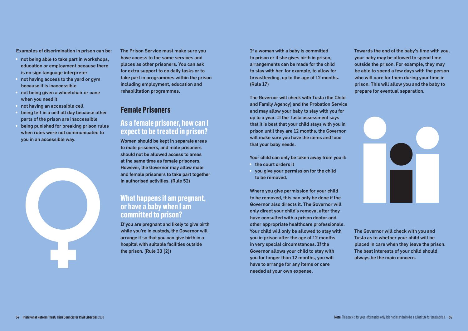Examples of discrimination in prison can be:

- not being able to take part in workshops, education or employment because there is no sign language interpreter
- not having access to the yard or gym because it is inaccessible
- not being given a wheelchair or cane when you need it
- not having an accessible cell
- being left in a cell all day because other parts of the prison are inaccessible
- being punished for breaking prison rules when rules were not communicated to you in an accessible way.

The Prison Service must make sure you have access to the same services and places as other prisoners. You can ask for extra support to do daily tasks or to take part in programmes within the prison including employment, education and rehabilitation programmes.

## **Female Prisoners**

## **As a female prisoner, how can I expect to be treated in prison?**

Women should be kept in separate areas to male prisoners, and male prisoners should not be allowed access to areas at the same time as female prisoners. However, the Governor may allow male and female prisoners to take part together in authorised activities. (Rule 52)

## **What happens if am pregnant, or have a baby when I am committed to prison?**

If you are pregnant and likely to give birth while you're in custody, the Governor will arrange it so that you can give birth in a hospital with suitable facilities outside the prison. (Rule 33 [2])

If a woman with a baby is committed to prison or if she gives birth in prison, arrangements can be made for the child to stay with her, for example, to allow for breastfeeding, up to the age of 12 months. (Rule 17)

The Governor will check with Tusla (the Child and Family Agency) and the Probation Service and may allow your baby to stay with you for up to a year. If the Tusla assessment says that it is best that your child stays with you in prison until they are 12 months, the Governor will make sure you have the items and food that your baby needs.

Your child can only be taken away from you if: • the court orders it

• you give your permission for the child to be removed.

Where you give permission for your child to be removed, this can only be done if the Governor also directs it. The Governor will only direct your child's removal after they have consulted with a prison doctor and other appropriate healthcare professionals. Your child will only be allowed to stay with you in prison after the age of 12 months in very special circumstances. If the Governor allows your child to stay with you for longer than 12 months, you will have to arrange for any items or care needed at your own expense.

Towards the end of the baby's time with you, your baby may be allowed to spend time outside the prison. For example, they may be able to spend a few days with the person who will care for them during your time in prison. This will allow you and the baby to prepare for eventual separation.



The Governor will check with you and Tusla as to whether your child will be placed in care when they leave the prison. The best interests of your child should always be the main concern.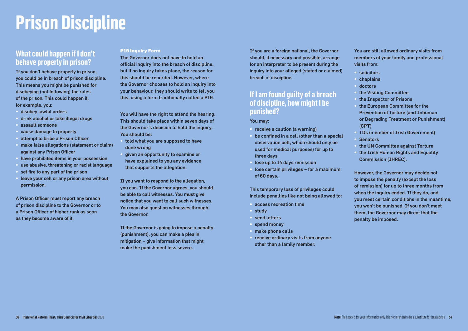# **Prison Discipline**

# **What could happen if I don't behave properly in prison?**

If you don't behave properly in prison, you could be in breach of prison discipline. This means you might be punished for disobeying (not following) the rules of the prison. This could happen if, for example, you:

- disobey lawful orders
- drink alcohol or take illegal drugs
- assault someone
- cause damage to property
- attempt to bribe a Prison Officer
- make false allegations (statement or claim) against any Prison Officer
- have prohibited items in your possession
- use abusive, threatening or racist language
- set fire to any part of the prison
- leave your cell or any prison area without permission.

A Prison Officer must report any breach of prison discipline to the Governor or to a Prison Officer of higher rank as soon as they become aware of it.

#### P19 Inquiry Form

The Governor does not have to hold an official inquiry into the breach of discipline, but if no inquiry takes place, the reason for this should be recorded. However, where the Governor chooses to hold an inquiry into your behaviour, they should write to tell you this, using a form traditionally called a P19.

You will have the right to attend the hearing. This should take place within seven days of the Governor's decision to hold the inquiry. You should be:

- told what you are supposed to have done wrong
- given an opportunity to examine or have explained to you any evidence that supports the allegation.

If you want to respond to the allegation, you can. If the Governor agrees, you should be able to call witnesses. You must give notice that you want to call such witnesses. You may also question witnesses through the Governor.

If the Governor is going to impose a penalty (punishment), you can make a plea in mitigation – give information that might make the punishment less severe.

If you are a foreign national, the Governor should, if necessary and possible, arrange for an interpreter to be present during the inquiry into your alleged (stated or claimed) breach of discipline.

## **If I am found guilty of a breach of discipline, how might I be punished?**

#### You may:

- receive a caution (a warning)
- be confined in a cell (other than a special observation cell, which should only be used for medical purposes) for up to three days
- lose up to 14 days remission
- lose certain privileges for a maximum of 60 days.

This temporary loss of privileges could include penalties like not being allowed to:

- access recreation time
- study
- send letters
- spend money
- make phone calls
- receive ordinary visits from anyone other than a family member.

You are still allowed ordinary visits from members of your family and professional visits from:

- solicitors
- chaplains
- doctors
- the Visiting Committee
- the Inspector of Prisons
- the European Committee for the Prevention of Torture (and Inhuman or Degrading Treatment or Punishment) (CPT)
- TDs (member of Irish Government) **Senators**
- the UN Committee against Torture
- the Irish Human Rights and Equality Commission (IHREC).

However, the Governor may decide not to impose the penalty (except the loss of remission) for up to three months from when the inquiry ended. If they do, and you meet certain conditions in the meantime, you won't be punished. If you don't meet them, the Governor may direct that the penalty be imposed.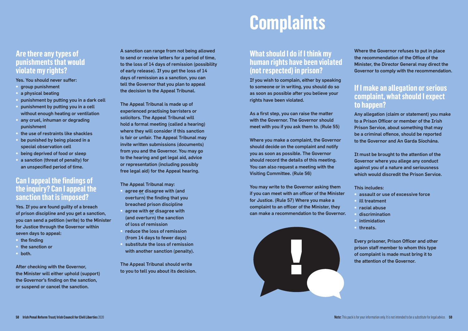## **Are there any types of punishments that would violate my rights?**

#### Yes. You should never suffer:

- group punishment
- a physical beating
- punishment by putting you in a dark cell
- punishment by putting you in a cell without enough heating or ventilation
- any cruel, inhuman or degrading punishment
- the use of restraints like shackles
- be punished by being placed in a special observation cell
- being deprived of food or sleep
- a sanction (threat of penalty) for an unspecified period of time.

# **Can I appeal the findings of the inquiry? Can I appeal the sanction that is imposed?**

Yes. If you are found quilty of a breach of prison discipline and you get a sanction, you can send a petition (write) to the Minister for Justice through the Governor within seven days to appeal:

- the finding
- the sanction or
- both.

After checking with the Governor, the Minister will either uphold (support) the Governor's finding on the sanction, or suspend or cancel the sanction.

A sanction can range from not being allowed to send or receive letters for a period of time, to the loss of 14 days of remission (possibility of early release). If you get the loss of 14 days of remission as a sanction, you can tell the Governor that you plan to appeal the decision to the Appeal Tribunal.

The Appeal Tribunal is made up of experienced practising barristers or solicitors. The Appeal Tribunal will hold a formal meeting (called a hearing) where they will consider if this sanction is fair or unfair. The Appeal Tribunal may invite written submissions (documents) from you and the Governor. You may go to the hearing and get legal aid, advice or representation (including possibly free legal aid) for the Appeal hearing.

The Appeal Tribunal may:

- agree **or** disagree with (and overturn) the finding that you breached prison discipline
- agree with **or** disagree with (and overturn) the sanction of loss of remission
- reduce the loss of remission (from 14 days to fewer days)
- substitute the loss of remission with another sanction (penalty).

The Appeal Tribunal should write to you to tell you about its decision.

# **Complaints**

# **What should I do if I think my human rights have been violated (not respected) in prison?**

If you wish to complain, either by speaking to someone or in writing, you should do so as soon as possible after you believe your rights have been violated.

As a first step, you can raise the matter with the Governor. The Governor should meet with you if you ask them to. (Rule 55)

Where you make a complaint, the Governor should decide on the complaint and notify you as soon as possible. The Governor should record the details of this meeting. You can also request a meeting with the Visiting Committee. (Rule 56)

You may write to the Governor asking them if you can meet with an officer of the Minister for Justice. (Rule 57) Where you make a complaint to an officer of the Minister, they can make a recommendation to the Governor.



Where the Governor refuses to put in place the recommendation of the Office of the Minister, the Director General may direct the Governor to comply with the recommendation.

## **If I make an allegation or serious complaint, what should I expect to happen?**

Any allegation (claim or statement) you make to a Prison Officer or member of the Irish Prison Service, about something that may be a criminal offence, should be reported to the Governor and An Garda Síochána.

It must be brought to the attention of the Governor where you allege any conduct against you of a nature and seriousness which would discredit the Prison Service.

This includes:

- assault or use of excessive force
- ill treatment
- racial abuse
- discrimination
- intimidation
- threats.

Every prisoner, Prison Officer and other prison staff member to whom this type of complaint is made must bring it to the attention of the Governor.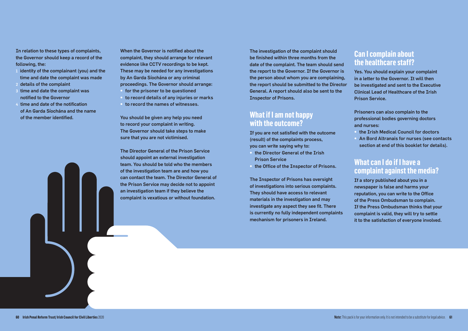In relation to these types of complaints, the Governor should keep a record of the following, the:

- 1 identity of the complainant (you) and the time and date the complaint was made
- 2 details of the complaint
- 3 time and date the complaint was notified to the Governor
- time and date of the notification of An Garda Síochána and the name of the member identified.

When the Governor is notified about the complaint, they should arrange for relevant evidence like CCTV recordings to be kept. These may be needed for any investigations by An Garda Síochána or any criminal proceedings. The Governor should arrange:

- for the prisoner to be questioned
- to record details of any injuries or marks
- to record the names of witnesses.

You should be given any help you need to record your complaint in writing. The Governor should take steps to make sure that you are not victimised.

The Director General of the Prison Service should appoint an external investigation team. You should be told who the members of the investigation team are and how you can contact the team. The Director General of the Prison Service may decide not to appoint an investigation team if they believe the complaint is vexatious or without foundation.

The investigation of the complaint should be finished within three months from the date of the complaint. The team should send the report to the Governor. If the Governor is the person about whom you are complaining, the report should be submitted to the Director General. A report should also be sent to the Inspector of Prisons.

## **What if I am not happy with the outcome?**

If you are not satisfied with the outcome (result) of the complaints process, you can write saying why to:

- the Director General of the Irish Prison Service
- the Office of the Inspector of Prisons.

The Inspector of Prisons has oversight of investigations into serious complaints. They should have access to relevant materials in the investigation and may investigate any aspect they see fit. There is currently no fully independent complaints mechanism for prisoners in Ireland.

# **Can I complain about the healthcare staff?**

Yes. You should explain your complaint in a letter to the Governor. It will then be investigated and sent to the Executive Clinical Lead of Healthcare of the Irish Prison Service.

Prisoners can also complain to the professional bodies governing doctors and nurses:

- the Irish Medical Council for doctors
- An Bord Altranais for nurses (see contacts section at end of this booklet for details).

## **What can I do if I have a complaint against the media?**

If a story published about you in a newspaper is false and harms your reputation, you can write to the Office of the Press Ombudsman to complain. If the Press Ombudsman thinks that your complaint is valid, they will try to settle it to the satisfaction of everyone involved.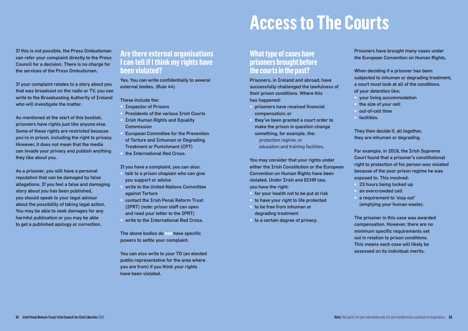If this is not possible, the Press Ombudsman can refer your complaint directly to the Press Council for a decision. There is no charge for the services of the Press Ombudsman.

If your complaint relates to a story about you that was broadcast on the radio or TV, you can write to the Broadcasting Authority of Ireland who will investigate the matter.

As mentioned at the start of this booklet, prisoners have rights just like anyone else. Some of these rights are restricted because you're in prison, including the right to privacy. However, it does not mean that the media can invade your privacy and publish anything they like about you.

As a prisoner, you still have a personal reputation that can be damaged by false allegations. If you feel a false and damaging story about you has been published, you should speak to your legal advisor about the possibility of taking legal action. You may be able to seek damages for any harmful publication or you may be able to get a published apology or correction.

## **Are there external organisations I can tell if I think my rights have been violated?**

Yes. You can write confidentially to several external bodies. (Rule 44)

#### These include the:

- Inspector of Prisons
- Presidents of the various Irish Courts
- Irish Human Rights and Equality **Commission**
- European Committee for the Prevention of Torture and Inhuman or Degrading Treatment or Punishment (CPT)
- the International Red Cross.
- If you have a complaint, you can also:
- talk to a prison chaplain who can give you support or advice
- write to the United Nations Committee against Torture
- contact the Irish Penal Reform Trust (IPRT) (note: prison staff can open and read your letter to the IPRT)
- write to the International Red Cross.

The above bodies do **not** have specific powers to settle your complaint.

You can also write to your TD (an elected public representative for the area where you are from) if you think your rights have been violated.

# **Access to The Courts**

## **What type of cases have prisoners brought before the courts in the past?**

Prisoners, in Ireland and abroad, have successfully challenged the lawfulness of their prison conditions. Where this has happened:

- prisoners have received financial compensation; or
- they've been granted a court order to make the prison in question change something, for example, the:
	- protection regime, or
	- education and training facilities.

You may consider that your rights under either the Irish Constitution or the European Convention on Human Rights have been violated. Under Irish and ECHR law, you have the right:

- for your health not to be put at risk
- to have your right to life protected
- to be free from inhuman or degrading treatment
- to a certain degree of privacy.

Prisoners have brought many cases under the European Convention on Human Rights.

When deciding if a prisoner has been subjected to inhuman or degrading treatment, a court must look at all of the conditions of your detention like:

- your living accommodation
- the size of your cell
- out-of-cell time
- facilities.

They then decide if, all together, they are inhuman or degrading.

For example, in 2019, the Irish Supreme Court found that a prisoner's constitutional right to protection of his person was violated because of the poor prison regime he was exposed to. This involved:

- 23 hours being locked up
- an overcrowded cell
- a requirement to 'slop out' (emptying your human waste).

The prisoner in this case was awarded compensation. However, there are no minimum specific requirements set out in relation to prison conditions. This means each case will likely be assessed on its individual merits.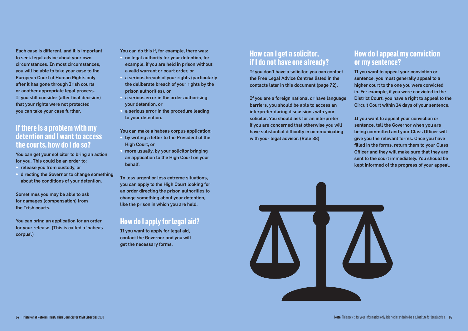Each case is different, and it is important to seek legal advice about your own circumstances. In most circumstances, you will be able to take your case to the European Court of Human Rights only after it has gone through Irish courts or another appropriate legal process. If you still consider (after final decision) that your rights were not protected you can take your case further.

## **If there is a problem with my detention and I want to access the courts, how do I do so?**

You can get your solicitor to bring an action for you. This could be an order to:

- release you from custody, or
- directing the Governor to change something about the conditions of your detention.

Sometimes you may be able to ask for damages (compensation) from the Irish courts.

You can bring an application for an order for your release. (This is called a 'habeas corpus'.)

You can do this if, for example, there was:

- no legal authority for your detention, for example, if you are held in prison without a valid warrant or court order, or
- a serious breach of your rights (particularly the deliberate breach of your rights by the prison authorities), or
- a serious error in the order authorising your detention, or
- a serious error in the procedure leading to your detention.

You can make a habeas corpus application:

- by writing a letter to the President of the High Court, or
- more usually, by your solicitor bringing an application to the High Court on your behalf.

In less urgent or less extreme situations, you can apply to the High Court looking for an order directing the prison authorities to change something about your detention, like the prison in which you are held.

## **How do I apply for legal aid?**

If you want to apply for legal aid, contact the Governor and you will get the necessary forms.

## **How can I get a solicitor, if I do not have one already?**

If you don't have a solicitor, you can contact the Free Legal Advice Centres listed in the contacts later in this document (page 72).

If you are a foreign national or have language barriers, you should be able to access an interpreter during discussions with your solicitor. You should ask for an interpreter if you are concerned that otherwise you will have substantial difficulty in communicating with your legal advisor. (Rule 38)

# **How do I appeal my conviction or my sentence?**

If you want to appeal your conviction or sentence, you must generally appeal to a higher court to the one you were convicted in. For example, if you were convicted in the District Court, you have a right to appeal to the Circuit Court within 14 days of your sentence.

If you want to appeal your conviction or sentence, tell the Governor when you are being committed and your Class Officer will give you the relevant forms. Once you have filled in the forms, return them to your Class Officer and they will make sure that they are sent to the court immediately. You should be kept informed of the progress of your appeal.

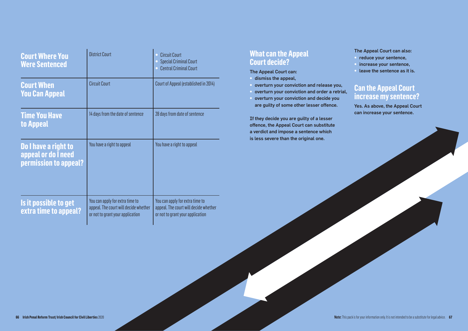| <b>Court Where You</b><br><b>Were Sentenced</b>                      | <b>District Court</b>                                                                                        | <b>Circuit Court</b><br><b>Special Criminal Court</b><br><b>Central Criminal Court</b>                       |
|----------------------------------------------------------------------|--------------------------------------------------------------------------------------------------------------|--------------------------------------------------------------------------------------------------------------|
| <b>Court When</b><br><b>You Can Appeal</b>                           | <b>Circuit Court</b>                                                                                         | Court of Appeal (established in 2014)                                                                        |
| <b>Time You Have</b><br>to Appeal                                    | 14 days from the date of sentence                                                                            | 28 days from date of sentence                                                                                |
| Do I have a right to<br>appeal or do I need<br>permission to appeal? | You have a right to appeal                                                                                   | You have a right to appeal                                                                                   |
| Is it possible to get<br>extra time to appeal?                       | You can apply for extra time to<br>appeal. The court will decide whether<br>or not to grant your application | You can apply for extra time to<br>appeal. The court will decide whether<br>or not to grant your application |

# **What can the Appeal Court decide?**

### The Appeal Court can:

- dismiss the appeal,
- overturn your conviction and release you,
- overturn your conviction and order a retrial,
- overturn your conviction and decide you are guilty of some other lesser offence.

If they decide you are guilty of a lesser offence, the Appeal Court can substitute a verdict and impose a sentence which is less severe than the original one.

## The Appeal Court can also:

- reduce your sentence,
- increase your sentence,
- leave the sentence as it is.

# **Can the Appeal Court increase my sentence?**

Yes. As above, the Appeal Court can increase your sentence.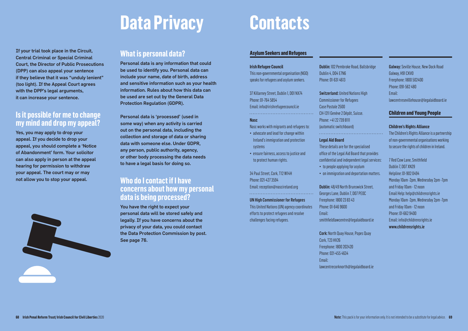# **Data Privacy**

If your trial took place in the Circuit, Central Criminal or Special Criminal Court, the Director of Public Prosecutions (DPP) can also appeal your sentence if they believe that it was "unduly lenient" (too light). If the Appeal Court agrees with the DPP's legal arguments, it can increase your sentence.

# **Is it possible for me to change my mind and drop my appeal?**

Yes, you may apply to drop your appeal. If you decide to drop your appeal, you should complete a 'Notice of Abandonment' form. Your solicitor can also apply in person at the appeal hearing for permission to withdraw your appeal. The court may or may not allow you to stop your appeal.

## **What is personal data?**

Personal data is any information that could be used to identify you. Personal data can include your name, date of birth, address and sensitive information such as your health information. Rules about how this data can be used are set out by the General Data Protection Regulation (GDPR).

Personal data is 'processed' (used in some way) when any activity is carried out on the personal data, including the collection and storage of data or sharing data with someone else. Under GDPR, any person, public authority, agency, or other body processing the data needs to have a legal basis for doing so.

## **Who do I contact if I have concerns about how my personal data is being processed?**

## You have the right to expect your personal data will be stored safely and legally. If you have concerns about the privacy of your data, you could contact the Data Protection Commission by post. See page 76.

# **Contacts**

## **Asylum Seekers and Refugees**

**Irish Refugee Council**  This non-governmental organisation (NGO) speaks for refugees and asylum seekers.

37 Killarney Street, Dublin 1, D01 NX74 Phone: 01-764 5854 Email: info@irishrefugeecouncil.ie 

### **Nasc**

Nasc works with migrants and refugees to:

- advocate and lead for change within Ireland's immigration and protection systems
- ensure fairness, access to justice and to protect human rights.

34 Paul Street, Cork, T12 W14H Phone: 021-427 3594 Email: reception@nascireland.org

UN High Commissioner for Refugees

This United Nations (UN) agency coordinates efforts to protect refugees and resolve challenges facing refugees.

Dublin: 102 Pembroke Road, Ballsbridge Dublin 4, D04 E7N6 Phone: 01-631 4613

Switzerland: United Nations High Commissioner for Refugees Case Postale 2500 CH-1211 Genève 2 Dépôt, Suisse. Phone: +41 22 739 8111 (automatic switchboard)

#### **Legal Aid Board**

These details are for the specialised office of the Legal Aid Board that provides confidential and independent legal services: • to people applying for asylum

• on immigration and deportation matters.

Dublin: 48/49 North Brunswick Street, Georges Lane, Dublin 7, D07 PE0C Freephone: 1800 23 83 43 Phone: 01-646 9600 Email: smithfieldlawcentre@legalaidboard.ie

Cork: North Quay House, Popes Quay

lawcentrecorknorth@legalaidboard.ie

Cork, T23 HV26 Freephone: 1800 202420 Phone: 021-455 4634

Email:

Galway: Seville House, New Dock Road Galway, H91 CKV0 Freephone: 1800 502400 Phone: 091-562 480 Email: lawcentresevillehouse@legalaidboard.ie

## **Children and Young People**

#### **Children's Rights Alliance**

The Children's Rights Alliance is a partnership of non-governmental organisations working to secure the rights of children in Ireland.

7 Red Cow Lane, Smithfield Dublin 7, D07 XN29 Helpline: 01-902 0494 Monday 10am -2pm, Wednesday 2pm -7pm and Friday 10am - 12 noon Email Help: help@childrensrights.ie Monday 10am -2pm, Wednesday 2pm -7pm and Friday 10am - 12 noon Phone: 01-662 9400 Email: info@childrensrights.ie www.childrensrights.ie

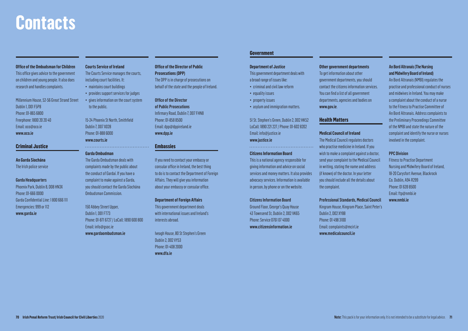#### **Office of the Ombudsman for Children**

This office gives advice to the government on children and young people. It also does research and handles complaints.

Millennium House, 52-56 Great Strand Street Dublin 1, D01 F5P8 Phone: 01-865 6800 Freephone: 1800 20 20 40 Email: oco@oco.ie www.oco.ie

## **Criminal Justice**

### **An Garda Síochána** The Irish police service

Garda Headquarters

Phoenix Park, Dublin 8, D08 HN3X Phone: 01-666 0000 Garda Confidential Line: 1 800 666 111 Emergencies: 999 or 112 www.garda.ie

## **Courts Service of Ireland**

The Courts Service manages the courts, including court facilities. It: • maintains court buildings

• provides support services for judges • gives information on the court system to the public.

15-24 Phoenix St North, Smithfield Dublin 7, D07 X028 Phone: 01-888 6000 www.courts.ie

## **Garda Ombudman**

The Garda Ombudsman deals with complaints made by the public about the conduct of Gardaí. If you have a complaint to make against a Garda, you should contact the Garda Síochána Ombudsman Commission.

150 Abbey Street Upper, Dublin 1, D01 FT73 Phone: 01-871 6727 / LoCall: 1890 600 800 Email: info@gsoc.ie www.gardaombudsman.ie

## **Office of the Director of Public Prosecutions (DPP)**

The DPP is in charge of prosecutions on behalf of the state and the people of Ireland.

## Office of the Director of Public Prosecutions Infirmary Road, Dublin 7, D07 FHN8 Phone: 01-858 8500 Email: dpp@dppireland.ie www.dpp.ie

## **Embassies**

If you need to contact your embassy or consular office in Ireland, the best thing to do is to contact the Department of Foreign Affairs. They will give you information about your embassy or consular office.

#### **Department of Foreign Affairs**

This government department deals with international issues and Ireland's interests abroad.

Iveagh House, 80 St Stephen's Green Dublin 2, D02 VY53 Phone: 01-408 2000 www.dfa.ie

## **Government**

## **Department of Justice**

This government department deals with a broad range of issues like:

- criminal and civil law reform • equality issues
- property issues

• asylum and immigration matters. 51 St. Stephen's Green, Dublin 2, D02 HK52 LoCall: 1890 221 227 / Phone: 01-602 8202

Email: info@justice.ie www.justice.ie

#### **Citizens Information Board**

This is a national agency responsible for giving information and advice on social services and money matters. It also provides advocacy services. Information is available in person, by phone or on the website.

#### Citizens Information Board

Ground Floor, George's Quay House 43 Townsend St, Dublin 2, D02 VK65 Phone: Service 0761 07 4000 www.citizensinformation.je

### **Other government departments**

To get information about other government departments, you should contact the citizens information services. You can find a list of all government departments, agencies and bodies on www.gov.ie.

## **Health Matters**

## **Medical Council of Ireland**

The Medical Council regulates doctors who practise medicine in Ireland. If you wish to make a complaint against a doctor, send your complaint to the Medical Council in writing, stating the name and address (if known) of the doctor. In your letter you should include all the details about the complaint.

#### Professional Standards, Medical Council

Kingram House, Kingram Place, Saint Peter's Dublin 2, D02 XY88 Phone: 01 498 3100 Email: complaints@mcirl.ie

www.medicalcouncil.ie

## An Bord Altranais (The Nursing and Midwifery Board of Ireland)

An Bord Altranais (NMBI) regulates the practise and professional conduct of nurses and midwives in Ireland. You may make a complaint about the conduct of a nurse to the Fitness to Practise Committee of An Bord Altranais. Address complaints to the Preliminary Proceedings Committee of the NMBI and state the nature of the complaint and identify the nurse or nurses involved in the complaint.

### PPC Division

Fitness to Practise Department Nursing and Midwifery Board of Ireland, 18-20 Carysfort Avenue, Blackrock Co. Dublin, A94 R299 Phone: 01 639 8500 Email: ftp@nmbi.ie www.nmbi.ie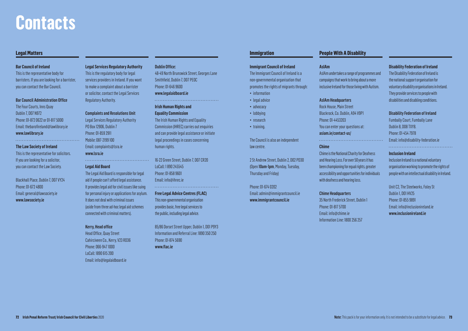## **Legal Matters**

#### **Bar Council of Ireland**

This is the representative body for barristers. If you are looking for a barrister, you can contact the Bar Council.

## Bar Council Administration Office

The Four Courts, Inns Quay Dublin 7, D07 N972 Phone: 01-872 0622 or 01-817 5000 Email: thebarofireland@lawlibrary.ie www.lawlibrary.ie

## **The Law Society of Ireland**

This is the representative for solicitors. If you are looking for a solicitor, you can contact the Law Society.

Blackhall Place, Dublin 7, D07 VY24 Phone: 01-672 4800 Email: general@lawsociety.ie www.lawsociety.ie

## **Legal Services Regulatory Authority**

This is the regulatory body for legal services providers in Ireland. If you want to make a complaint about a barrister or solicitor, contact the Legal Services Regulatory Authority.

### Complaints and Resolutions Unit

Legal Services Regulatory Authority PO Box 12906, Dublin 7 Phone: 01-859 2911 Mobile: 087-2199 100 Email: complaints@lsra.ie www.lsra.ie

## **Legal Aid Board**

The Legal Aid Board is responsible for legal aid if people can't afford legal assistance. It provides legal aid for civil issues like suing for personal injury or applications for asylum. It does not deal with criminal issues (aside from three ad-hoc legal aid schemes connected with criminal matters).

#### Kerry, Head office

Head Office, Quay Street Cahirciveen Co., Kerry, V23 RD36 Phone: 066-947 1000 LoCall: 1890 615 200 Email: info@legalaidboard.ie

## Dublin Office:

48-49 North Brunswick Street, Georges Lane Smithfield, Dublin 7, D07 PE0C Phone: 01-646 9600 www.legalaidboard.ie 

## **Irish Human Rights and**

**Equality Commission** 

The Irish Human Rights and Equality Commission (IHREC) carries out enquiries and can provide legal assistance or initiate legal proceedings in cases concerning human rights.

16-22 Green Street, Dublin 7, D07 CR20 LoCall: 1 890 245545 Phone: 01-858 9601 Email: info@ihrec.ie

## **Free Legal Advice Centres (FLAC)** This non-governmental organisation

provides basic, free legal services to the public, including legal advice.

85/86 Dorset Street Upper, Dublin 1, D01 P9Y3 Information and Referral Line: 1890 350 250 Phone: 01-874 5690 www.flac.ie

## **Immigration**

**Immigrant Council of Ireland** The Immigrant Council of Ireland is a non-governmental organisation that promotes the rights of migrants through:

- information
- legal advice
- advocacy
- lobbying
- research
- training.

The Council is also an independent law centre.

2 St Andrew Street, Dublin 2, D02 PD30 (Open 10am-1pm, Monday, Tuesday, Thursday and Friday)

Phone: 01-674 0202 Email: admin@immigrantcouncil.ie www.immigrantcouncil.ie

## **People With A Disability**

### **AsIAm**

AsIAm undertakes a range of programmes and campaigns that work to bring about a more inclusive Ireland for those living with Autism.

### AsIAm Headquarters

Rock House, Main Street Blackrock, Co. Dublin, A94 V9P1 Phone: 01-4453203 You can enter your questions at: asiam.ie/contact-us/ 

#### **Chime**

Chime is the National Charity for Deafness and Hearing Loss. For over 50 years it has been championing for equal rights, greater accessibility and opportunities for individuals with deafness and hearing loss.

#### Chime Headquarters

35 North Frederick Street, Dublin 1 Phone: 01-817 5700 Email: info@chime.ie Information Line: 1800 256 257

#### **Disability Federation of Ireland**

The Disability Federation of Ireland is the national support organisation for voluntary disability organisations in Ireland. They provide services to people with disabilities and disabling conditions.

#### Disability Federation of Ireland

Fumbally Court, Fumbally Lane Dublin 8, D08 TXY8. Phone: 01-454 7978 Email: info@disability-federation.ie

### **Inclusion Ireland**

Inclusion Ireland is a national voluntary organisation working to promote the rights of people with an intellectual disability in Ireland.

Unit C2, The Steelworks, Foley St Dublin 1, D01 HV25 Phone: 01-855 9891 Email: info@inclusionireland.ie www.inclusionireland.ie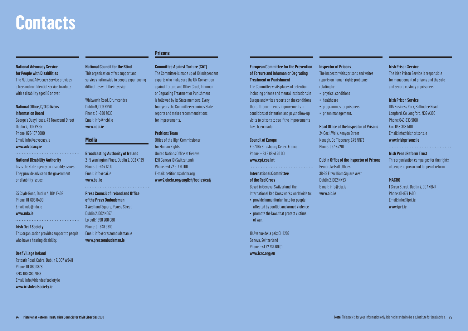## **National Advocacy Service for People with Disabilities**

The National Advocacy Service provides a free and confidential service to adults with a disability aged 18 or over.

#### National Office, C/O Citizens Information Board

George's Quay House, 43 Townsend Street Dublin 2, D02 VK65 Phone: 076-107 3000 Email: info@advocacy.ie www.advocacy.ie

### **National Disability Authority**

his is the state agency on disability issues. They provide advice to the government on disability issues.

## 25 Clyde Road, Dublin 4, D04 E409 Phone: 01-608 0400 Email: nda@nda.ie

## www.nda.ie

**Irish Deaf Society** This organisation provides support to people

who have a hearing disability.

## Deaf Village Ireland

Ratoath Road, Cabra, Dublin 7, D07 W94H Phone: 01-860 1878 SMS: 086 3807033 Email: info@irishdeafsociety.ie www.irishdeafsociety.ie

## **National Council for the Blind**

This organisation offers support and services nationwide to people experiencing difficulties with their eyesight.

Whitworth Road, Drumcondra Dublin 9, D09 RP70 Phone: 01-830 7033 Email: info@ncbi.ie www.ncbi.ie

## **Media**

## **Broadcasting Authority of Ireland** 2 - 5 Warrington Place, Dublin 2, D02 XP29 Phone: 01-644 1200 Email: info@bai.ie www.bai.ie

**Press Council of Ireland and Office of the Press Ombudsman** 3 Westland Square, Pearse Street Dublin 2, D02 N567 Lo-call: 1890 208 080 Phone: 01-648 9310 Email: info@pressombudsman.ie

www.pressombudsman.ie

## **Prisons**

## **Committee Against Torture (CAT)**

The Committee is made up of 10 independent experts who make sure the UN Convention against Torture and Other Cruel, Inhuman or Degrading Treatment or Punishment is followed by its State members. Every four years the Committee examines State reports and makes recommendations for improvements.

## Petitions Team Office of the High Commissioner for Human Rights United Nations Office at Geneva 1211 Geneva 10 (Switzerland) Phone: +41 22 917 90 00 E-mail: petitions@ohchr.org www2.ohchr.org/english/bodies/cat/

## **European Committee for the Prevention of Torture and Inhuman or Degrading Treatment or Punishment**

The Committee visits places of detention including prisons and mental institutions in Europe and writes reports on the conditions there. It recommends improvements in conditions of detention and pays follow-up visits to prisons to see if the improvements have been made.

### Council of Europe

F-67075 Strasbourg Cedex, France

Phone: + 33 3 88 41 20 00

#### www.cpt.coe.int

## **International Committee of the Red Cross**

## Based in Geneva, Switzerland, the

International Red Cross works worldwide to: • provide humanitarian help for people

- affected by conflict and armed violence • promote the laws that protect victims
- of war.

19 Avenue de la paix CH 1202 Geneva, Switzerland Phone: +41 22 734 60 01 www.icrc.org/en

### **Inspector of Prisons**

The Inspector visits prisons and writes reports on human rights problems relating to:

- physical conditions
- healthcare
- programmes for prisoners
- prison management.

#### Head Office of the Inspector of Prisons

24 Cecil Walk, Kenyon Street Nenagh, Co Tipperary, E45 NN73 Phone: 067-42210

#### Dublin Office of the Inspector of Prisons

Pembroke Hall Offices 38-39 Fitzwilliam Square West Dublin 2, D02 NX53 E-mail: info@oip.ie www.oip.ie

#### Irish Prison Service

The Irish Prison Service is responsible for management of prisons and the safe and secure custody of prisoners.

### Irish Prison Service

IDA Business Park, Ballinalee Road Longford, Co Longford, N39 A308 Phone: 043-333 5100 Fax: 043-333 5101 Email: info@irishprisons.ie www.irishprisons.ie

### **Irish Penal Reform Trust**

This organisation campaigns for the rights of people in prison and for penal reform.

### **MACRO**

1 Green Street, Dublin 7, D07 X6NR Phone: 01-874 1400 Email: info@iprt.ie www.iprt.ie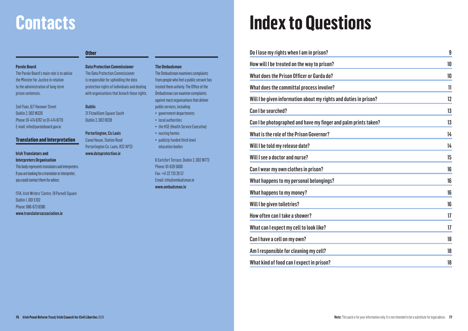#### **Parole Board**

The Parole Board's main role is to advise the Minister for Justice in relation to the administration of long-term prison sentences.

2nd Floor, 6/7 Hanover Street Dublin 2, D02 W320 Phone: 01-474 8767 or 01-474 8770 E-mail: info@paroleboard.gov.ie

## **Translation and Interpretation**

**Irish Translators and Interpreters Organisation**  This body represents translators and interpreters. If you are looking for a translator or interpreter, you could contact them for advice.

ITIA, Irish Writers' Centre, 19 Parnell Square Dublin 1, D01 E102 Phone: 086-673 8386 www.translatorsassociation.ie

## **Other**

## **Data Protection Commissioner**

The Data Protection Commissioner is responsible for upholding the data protection rights of individuals and dealing with organisations that breach those rights.

### Dublin

21 Fitzwilliam Square South Dublin 2, D02 RD28

## Portarlington, Co Laois Canal House, Station Road Portarlington Co. Laois, R32 AP23 www.dataprotection.ie

Phone: 01-639 5600

• local authorities • the HSE (Health Service Executive) • nursing homes • publicly funded third-level education bodies

The Ombudsman examines complaints from people who feel a public servant has treated them unfairly. The Office of the Ombudsman can examine complaints against most organisations that deliver public services, including: • government departments

**The Ombudsman**

6 Earlsfort Terrace, Dublin 2, D02 W773 Fax: +41 22 733 20 57 Email: info@ombudsman.ie www.ombudsman.ie

| Do I lose my rights when I am in prison?                          | 9  |
|-------------------------------------------------------------------|----|
| How will I be treated on the way to prison?                       | 10 |
| What does the Prison Officer or Garda do?                         | 10 |
| What does the committal process involve?                          | 11 |
| Will I be given information about my rights and duties in prison? | 12 |
| Can I be searched?                                                | 13 |
| Can I be photographed and have my finger and palm prints taken?   | 13 |
| What is the role of the Prison Governor?                          | 14 |
| Will I be told my release date?                                   | 14 |
| Will I see a doctor and nurse?                                    | 15 |
| Can I wear my own clothes in prison?                              | 16 |
| What happens to my personal belongings?                           | 16 |
| What happens to my money?                                         | 16 |
| Will I be given toiletries?                                       | 16 |
| How often can I take a shower?                                    | 17 |
| What can I expect my cell to look like?                           | 17 |
| Can I have a cell on my own?                                      | 18 |
| Am I responsible for cleaning my cell?                            | 18 |
| What kind of food can I expect in prison?                         | 18 |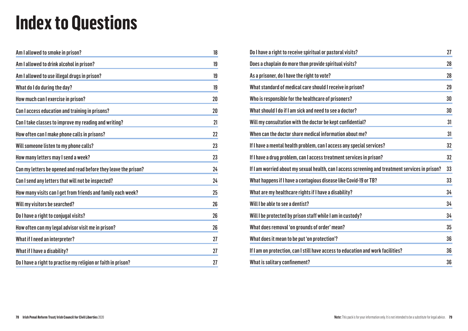| Am I allowed to smoke in prison?                                | 18 |
|-----------------------------------------------------------------|----|
| Am I allowed to drink alcohol in prison?                        | 19 |
| Am I allowed to use illegal drugs in prison?                    | 19 |
| What do I do during the day?                                    | 19 |
| How much can I exercise in prison?                              | 20 |
| Can I access education and training in prisons?                 | 20 |
| Can I take classes to improve my reading and writing?           | 21 |
| How often can I make phone calls in prisons?                    | 22 |
| Will someone listen to my phone calls?                          | 23 |
| How many letters may I send a week?                             | 23 |
| Can my letters be opened and read before they leave the prison? | 24 |
| Can I send any letters that will not be inspected?              | 24 |
| How many visits can I get from friends and family each week?    | 25 |
| Will my visitors be searched?                                   | 26 |
| Do I have a right to conjugal visits?                           | 26 |
| How often can my legal advisor visit me in prison?              | 26 |
| What if I need an interpreter?                                  | 27 |
| What if I have a disability?                                    | 27 |
| Do I have a right to practise my religion or faith in prison?   | 27 |
|                                                                 |    |

| Do I have a right to receive spiritual or pastoral visits?                                       | 27 |
|--------------------------------------------------------------------------------------------------|----|
| Does a chaplain do more than provide spiritual visits?                                           | 28 |
| As a prisoner, do I have the right to vote?                                                      | 28 |
| What standard of medical care should I receive in prison?                                        | 29 |
| Who is responsible for the healthcare of prisoners?                                              | 30 |
| What should I do if I am sick and need to see a doctor?                                          | 30 |
| Will my consultation with the doctor be kept confidential?                                       | 31 |
| When can the doctor share medical information about me?                                          | 31 |
| If I have a mental health problem, can I access any special services?                            | 32 |
| If I have a drug problem, can I access treatment services in prison?                             | 32 |
| If I am worried about my sexual health, can I access screening and treatment services in prison? | 33 |
| What happens if I have a contagious disease like Covid-19 or TB?                                 | 33 |
| What are my healthcare rights if I have a disability?                                            | 34 |
| Will I be able to see a dentist?                                                                 | 34 |
| Will I be protected by prison staff while I am in custody?                                       | 34 |
| What does removal 'on grounds of order' mean?                                                    | 35 |
| What does it mean to be put 'on protection'?                                                     | 36 |
| If I am on protection, can I still have access to education and work facilities?                 | 36 |
| What is solitary confinement?                                                                    | 36 |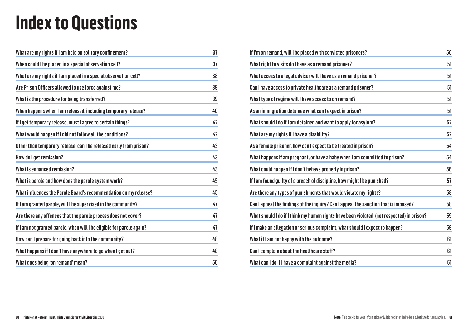| What are my rights if I am held on solitary confinement?              | 37 |
|-----------------------------------------------------------------------|----|
| When could I be placed in a special observation cell?                 | 37 |
| What are my rights if I am placed in a special observation cell?      | 38 |
| Are Prison Officers allowed to use force against me?                  | 39 |
| What is the procedure for being transferred?                          | 39 |
| When happens when I am released, including temporary release?         | 40 |
| If I get temporary release, must I agree to certain things?           | 42 |
| What would happen if I did not follow all the conditions?             | 42 |
| Other than temporary release, can I be released early from prison?    | 43 |
| How do I get remission?                                               | 43 |
| <b>What is enhanced remission?</b>                                    | 43 |
| What is parole and how does the parole system work?                   | 45 |
| What influences the Parole Board's recommendation on my release?      | 45 |
| If I am granted parole, will I be supervised in the community?        | 47 |
| Are there any offences that the parole process does not cover?        | 47 |
| If I am not granted parole, when will I be eligible for parole again? | 47 |
| How can I prepare for going back into the community?                  | 48 |
| What happens if I don't have anywhere to go when I get out?           | 48 |
| What does being 'on remand' mean?                                     | 50 |

| If I'm on remand, will I be placed with convicted prisoners?                              | 50 |
|-------------------------------------------------------------------------------------------|----|
| What right to visits do I have as a remand prisoner?                                      | 51 |
| What access to a legal advisor will I have as a remand prisoner?                          | 51 |
| Can I have access to private healthcare as a remand prisoner?                             | 51 |
| What type of regime will I have access to on remand?                                      | 51 |
| As an immigration detainee what can I expect in prison?                                   | 51 |
| What should I do if I am detained and want to apply for asylum?                           | 52 |
| What are my rights if I have a disability?                                                | 52 |
| As a female prisoner, how can I expect to be treated in prison?                           | 54 |
| What happens if am pregnant, or have a baby when I am committed to prison?                | 54 |
| What could happen if I don't behave properly in prison?                                   | 56 |
| If I am found quilty of a breach of discipline, how might I be punished?                  | 57 |
| Are there any types of punishments that would violate my rights?                          | 58 |
| Can I appeal the findings of the inquiry? Can I appeal the sanction that is imposed?      | 58 |
| What should I do if I think my human rights have been violated (not respected) in prison? | 59 |
| If I make an allegation or serious complaint, what should I expect to happen?             | 59 |
| What if I am not happy with the outcome?                                                  | 61 |
| Can I complain about the healthcare staff?                                                | 61 |
| What can I do if I have a complaint against the media?                                    | 61 |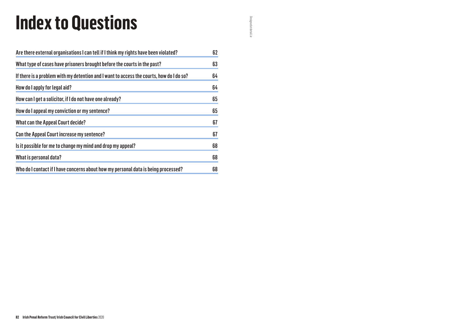| Are there external organisations I can tell if I think my rights have been violated?     | 62 |
|------------------------------------------------------------------------------------------|----|
| What type of cases have prisoners brought before the courts in the past?                 | 63 |
| If there is a problem with my detention and I want to access the courts, how do I do so? | 64 |
| How do I apply for legal aid?                                                            | 64 |
| How can I get a solicitor, if I do not have one already?                                 | 65 |
| How do I appeal my conviction or my sentence?                                            | 65 |
| <b>What can the Appeal Court decide?</b>                                                 | 67 |
| Can the Appeal Court increase my sentence?                                               | 67 |
| Is it possible for me to change my mind and drop my appeal?                              | 68 |
| What is personal data?                                                                   | 68 |
| Who do I contact if I have concerns about how my personal data is being processed?       | 68 |
|                                                                                          |    |